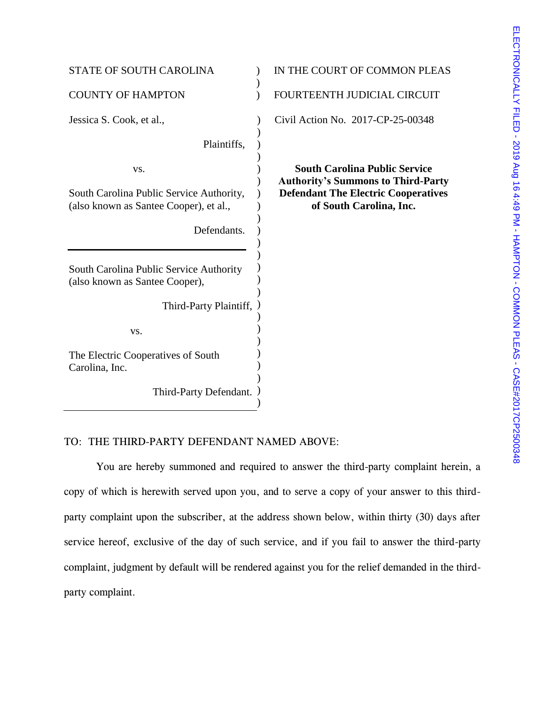| <b>STATE OF SOUTH CAROLINA</b>                                                                           | IN THE COURT OF COMMON PLEAS                                                                                                                               |
|----------------------------------------------------------------------------------------------------------|------------------------------------------------------------------------------------------------------------------------------------------------------------|
| <b>COUNTY OF HAMPTON</b>                                                                                 | FOURTEENTH JUDICIAL CIRCUIT                                                                                                                                |
| Jessica S. Cook, et al.,                                                                                 | Civil Action No. 2017-CP-25-00348                                                                                                                          |
| Plaintiffs,                                                                                              |                                                                                                                                                            |
| VS.<br>South Carolina Public Service Authority,<br>(also known as Santee Cooper), et al.,<br>Defendants. | <b>South Carolina Public Service</b><br><b>Authority's Summons to Third-Party</b><br><b>Defendant The Electric Cooperatives</b><br>of South Carolina, Inc. |
| South Carolina Public Service Authority<br>(also known as Santee Cooper),<br>Third-Party Plaintiff,      |                                                                                                                                                            |
| VS.                                                                                                      |                                                                                                                                                            |
| The Electric Cooperatives of South<br>Carolina, Inc.                                                     |                                                                                                                                                            |
| Third-Party Defendant.                                                                                   |                                                                                                                                                            |
|                                                                                                          |                                                                                                                                                            |

# TO: THE THIRD-PARTY DEFENDANT NAMED ABOVE:

You are hereby summoned and required to answer the third-party complaint herein, a copy of which is herewith served upon you, and to serve a copy of your answer to this thirdparty complaint upon the subscriber, at the address shown below, within thirty (30) days after service hereof, exclusive of the day of such service, and if you fail to answer the third-party complaint, judgment by default will be rendered against you for the relief demanded in the thirdparty complaint.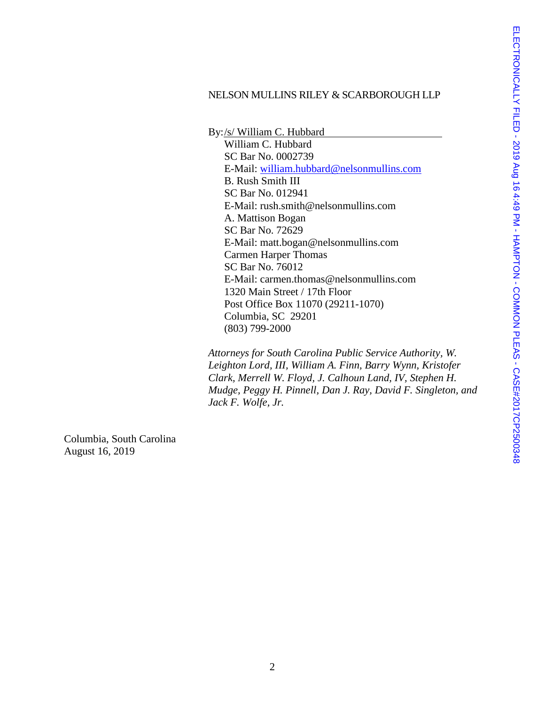# NELSON MULLINS RILEY & SCARBOROUGH LLP

By:/s/ William C. Hubbard William C. Hubbard SC Bar No. 0002739 E-Mail: [william.hubbard@nelsonmullins.com](mailto:william.hubbard@nelsonmullins.com) B. Rush Smith III SC Bar No. 012941 E-Mail: rush.smith@nelsonmullins.com A. Mattison Bogan SC Bar No. 72629 E-Mail: matt.bogan@nelsonmullins.com Carmen Harper Thomas SC Bar No. 76012 E-Mail: carmen.thomas@nelsonmullins.com 1320 Main Street / 17th Floor Post Office Box 11070 (29211-1070) Columbia, SC 29201 (803) 799-2000

*Attorneys for South Carolina Public Service Authority, W. Leighton Lord, III, William A. Finn, Barry Wynn, Kristofer Clark, Merrell W. Floyd, J. Calhoun Land, IV, Stephen H. Mudge, Peggy H. Pinnell, Dan J. Ray, David F. Singleton, and Jack F. Wolfe, Jr.* 

Columbia, South Carolina August 16, 2019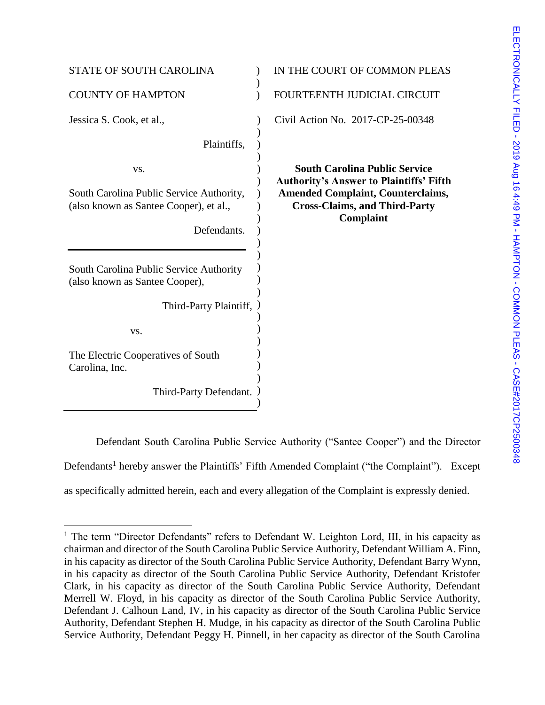| <b>STATE OF SOUTH CAROLINA</b>                                                                           | IN THE COURT OF COMMON PLEAS                                                                                                                                                                   |
|----------------------------------------------------------------------------------------------------------|------------------------------------------------------------------------------------------------------------------------------------------------------------------------------------------------|
| <b>COUNTY OF HAMPTON</b>                                                                                 | FOURTEENTH JUDICIAL CIRCUIT                                                                                                                                                                    |
| Jessica S. Cook, et al.,                                                                                 | Civil Action No. 2017-CP-25-00348                                                                                                                                                              |
| Plaintiffs,                                                                                              |                                                                                                                                                                                                |
| VS.<br>South Carolina Public Service Authority,<br>(also known as Santee Cooper), et al.,<br>Defendants. | <b>South Carolina Public Service</b><br><b>Authority's Answer to Plaintiffs' Fifth</b><br><b>Amended Complaint, Counterclaims,</b><br><b>Cross-Claims, and Third-Party</b><br><b>Complaint</b> |
| South Carolina Public Service Authority<br>(also known as Santee Cooper),                                |                                                                                                                                                                                                |
| Third-Party Plaintiff,                                                                                   |                                                                                                                                                                                                |
| VS.                                                                                                      |                                                                                                                                                                                                |
| The Electric Cooperatives of South<br>Carolina, Inc.                                                     |                                                                                                                                                                                                |
| Third-Party Defendant.                                                                                   |                                                                                                                                                                                                |

Defendant South Carolina Public Service Authority ("Santee Cooper") and the Director Defendants<sup>1</sup> hereby answer the Plaintiffs' Fifth Amended Complaint ("the Complaint"). Except as specifically admitted herein, each and every allegation of the Complaint is expressly denied.

 $\overline{a}$ 

<sup>&</sup>lt;sup>1</sup> The term "Director Defendants" refers to Defendant W. Leighton Lord, III, in his capacity as chairman and director of the South Carolina Public Service Authority, Defendant William A. Finn, in his capacity as director of the South Carolina Public Service Authority, Defendant Barry Wynn, in his capacity as director of the South Carolina Public Service Authority, Defendant Kristofer Clark, in his capacity as director of the South Carolina Public Service Authority, Defendant Merrell W. Floyd, in his capacity as director of the South Carolina Public Service Authority, Defendant J. Calhoun Land, IV, in his capacity as director of the South Carolina Public Service Authority, Defendant Stephen H. Mudge, in his capacity as director of the South Carolina Public Service Authority, Defendant Peggy H. Pinnell, in her capacity as director of the South Carolina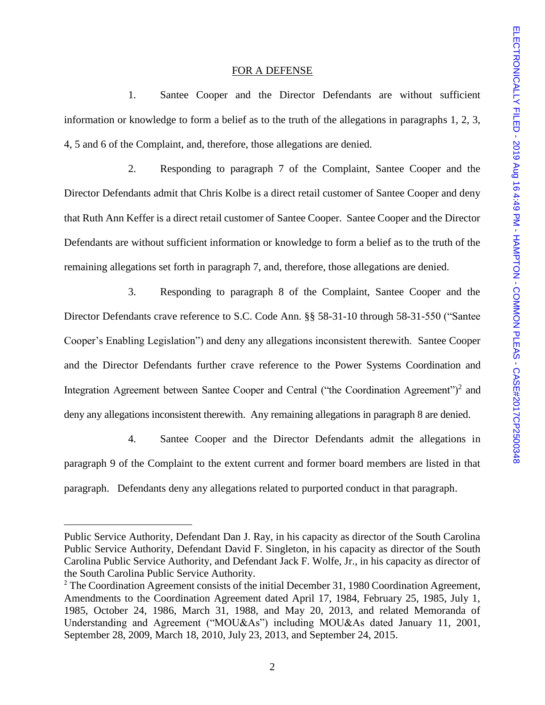#### FOR A DEFENSE

1. Santee Cooper and the Director Defendants are without sufficient information or knowledge to form a belief as to the truth of the allegations in paragraphs 1, 2, 3, 4, 5 and 6 of the Complaint, and, therefore, those allegations are denied.

2. Responding to paragraph 7 of the Complaint, Santee Cooper and the Director Defendants admit that Chris Kolbe is a direct retail customer of Santee Cooper and deny that Ruth Ann Keffer is a direct retail customer of Santee Cooper. Santee Cooper and the Director Defendants are without sufficient information or knowledge to form a belief as to the truth of the remaining allegations set forth in paragraph 7, and, therefore, those allegations are denied.

3. Responding to paragraph 8 of the Complaint, Santee Cooper and the Director Defendants crave reference to S.C. Code Ann. §§ 58-31-10 through 58-31-550 ("Santee Cooper's Enabling Legislation") and deny any allegations inconsistent therewith. Santee Cooper and the Director Defendants further crave reference to the Power Systems Coordination and Integration Agreement between Santee Cooper and Central ("the Coordination Agreement")<sup>2</sup> and deny any allegations inconsistent therewith. Any remaining allegations in paragraph 8 are denied.

4. Santee Cooper and the Director Defendants admit the allegations in paragraph 9 of the Complaint to the extent current and former board members are listed in that paragraph. Defendants deny any allegations related to purported conduct in that paragraph.

l

Public Service Authority, Defendant Dan J. Ray, in his capacity as director of the South Carolina Public Service Authority, Defendant David F. Singleton, in his capacity as director of the South Carolina Public Service Authority, and Defendant Jack F. Wolfe, Jr., in his capacity as director of the South Carolina Public Service Authority.

<sup>&</sup>lt;sup>2</sup> The Coordination Agreement consists of the initial December 31, 1980 Coordination Agreement, Amendments to the Coordination Agreement dated April 17, 1984, February 25, 1985, July 1, 1985, October 24, 1986, March 31, 1988, and May 20, 2013, and related Memoranda of Understanding and Agreement ("MOU&As") including MOU&As dated January 11, 2001, September 28, 2009, March 18, 2010, July 23, 2013, and September 24, 2015.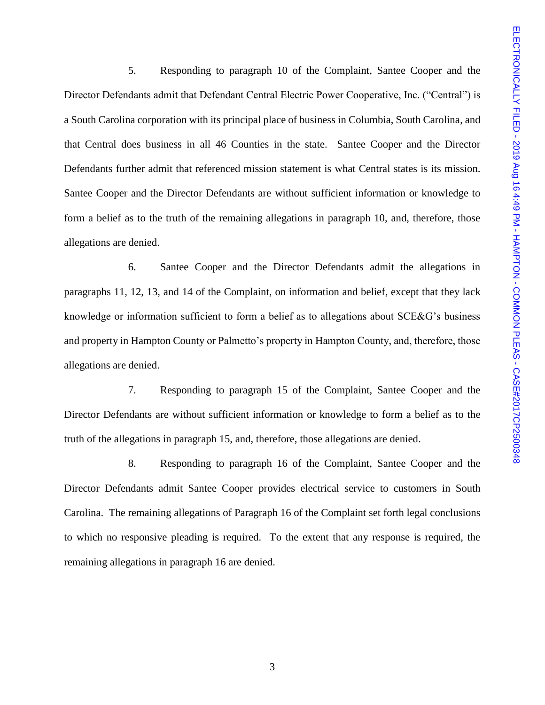5. Responding to paragraph 10 of the Complaint, Santee Cooper and the Director Defendants admit that Defendant Central Electric Power Cooperative, Inc. ("Central") is a South Carolina corporation with its principal place of business in Columbia, South Carolina, and that Central does business in all 46 Counties in the state. Santee Cooper and the Director Defendants further admit that referenced mission statement is what Central states is its mission. Santee Cooper and the Director Defendants are without sufficient information or knowledge to form a belief as to the truth of the remaining allegations in paragraph 10, and, therefore, those allegations are denied.

6. Santee Cooper and the Director Defendants admit the allegations in paragraphs 11, 12, 13, and 14 of the Complaint, on information and belief, except that they lack knowledge or information sufficient to form a belief as to allegations about SCE&G's business and property in Hampton County or Palmetto's property in Hampton County, and, therefore, those allegations are denied.

7. Responding to paragraph 15 of the Complaint, Santee Cooper and the Director Defendants are without sufficient information or knowledge to form a belief as to the truth of the allegations in paragraph 15, and, therefore, those allegations are denied.

8. Responding to paragraph 16 of the Complaint, Santee Cooper and the Director Defendants admit Santee Cooper provides electrical service to customers in South Carolina. The remaining allegations of Paragraph 16 of the Complaint set forth legal conclusions to which no responsive pleading is required. To the extent that any response is required, the remaining allegations in paragraph 16 are denied.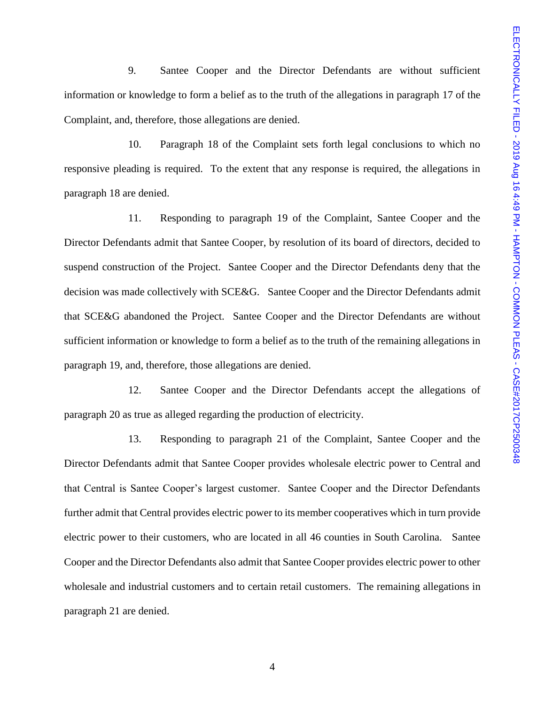9. Santee Cooper and the Director Defendants are without sufficient information or knowledge to form a belief as to the truth of the allegations in paragraph 17 of the Complaint, and, therefore, those allegations are denied.

10. Paragraph 18 of the Complaint sets forth legal conclusions to which no responsive pleading is required. To the extent that any response is required, the allegations in paragraph 18 are denied.

11. Responding to paragraph 19 of the Complaint, Santee Cooper and the Director Defendants admit that Santee Cooper, by resolution of its board of directors, decided to suspend construction of the Project. Santee Cooper and the Director Defendants deny that the decision was made collectively with SCE&G. Santee Cooper and the Director Defendants admit that SCE&G abandoned the Project. Santee Cooper and the Director Defendants are without sufficient information or knowledge to form a belief as to the truth of the remaining allegations in paragraph 19, and, therefore, those allegations are denied.

12. Santee Cooper and the Director Defendants accept the allegations of paragraph 20 as true as alleged regarding the production of electricity.

13. Responding to paragraph 21 of the Complaint, Santee Cooper and the Director Defendants admit that Santee Cooper provides wholesale electric power to Central and that Central is Santee Cooper's largest customer. Santee Cooper and the Director Defendants further admit that Central provides electric power to its member cooperatives which in turn provide electric power to their customers, who are located in all 46 counties in South Carolina. Santee Cooper and the Director Defendants also admit that Santee Cooper provides electric power to other wholesale and industrial customers and to certain retail customers. The remaining allegations in paragraph 21 are denied.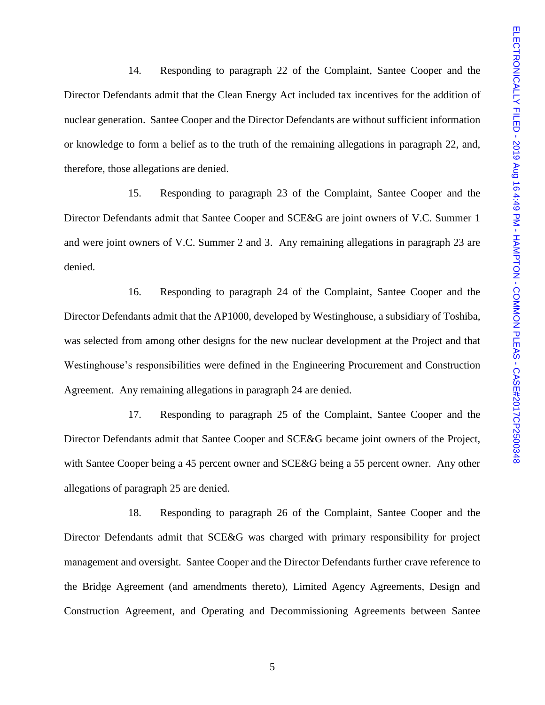14. Responding to paragraph 22 of the Complaint, Santee Cooper and the Director Defendants admit that the Clean Energy Act included tax incentives for the addition of nuclear generation. Santee Cooper and the Director Defendants are without sufficient information or knowledge to form a belief as to the truth of the remaining allegations in paragraph 22, and, therefore, those allegations are denied.

15. Responding to paragraph 23 of the Complaint, Santee Cooper and the Director Defendants admit that Santee Cooper and SCE&G are joint owners of V.C. Summer 1 and were joint owners of V.C. Summer 2 and 3. Any remaining allegations in paragraph 23 are denied.

16. Responding to paragraph 24 of the Complaint, Santee Cooper and the Director Defendants admit that the AP1000, developed by Westinghouse, a subsidiary of Toshiba, was selected from among other designs for the new nuclear development at the Project and that Westinghouse's responsibilities were defined in the Engineering Procurement and Construction Agreement. Any remaining allegations in paragraph 24 are denied.

17. Responding to paragraph 25 of the Complaint, Santee Cooper and the Director Defendants admit that Santee Cooper and SCE&G became joint owners of the Project, with Santee Cooper being a 45 percent owner and SCE&G being a 55 percent owner. Any other allegations of paragraph 25 are denied.

18. Responding to paragraph 26 of the Complaint, Santee Cooper and the Director Defendants admit that SCE&G was charged with primary responsibility for project management and oversight. Santee Cooper and the Director Defendants further crave reference to the Bridge Agreement (and amendments thereto), Limited Agency Agreements, Design and Construction Agreement, and Operating and Decommissioning Agreements between Santee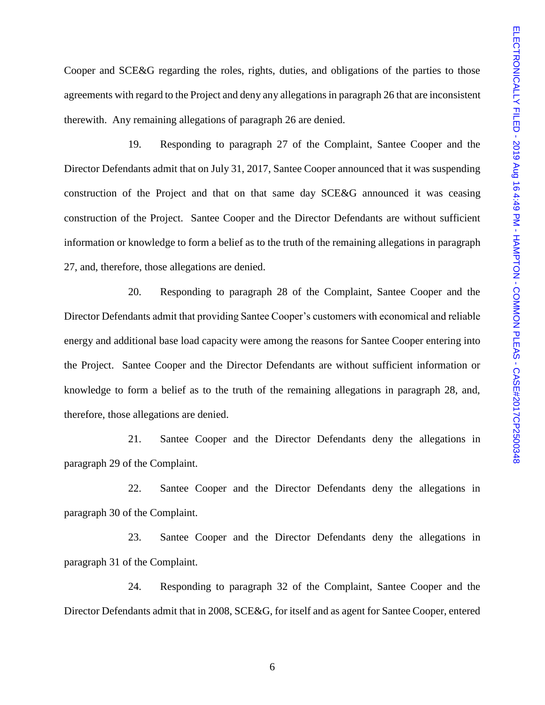Cooper and SCE&G regarding the roles, rights, duties, and obligations of the parties to those agreements with regard to the Project and deny any allegations in paragraph 26 that are inconsistent therewith. Any remaining allegations of paragraph 26 are denied.

19. Responding to paragraph 27 of the Complaint, Santee Cooper and the Director Defendants admit that on July 31, 2017, Santee Cooper announced that it was suspending construction of the Project and that on that same day SCE&G announced it was ceasing construction of the Project. Santee Cooper and the Director Defendants are without sufficient information or knowledge to form a belief as to the truth of the remaining allegations in paragraph 27, and, therefore, those allegations are denied.

20. Responding to paragraph 28 of the Complaint, Santee Cooper and the Director Defendants admit that providing Santee Cooper's customers with economical and reliable energy and additional base load capacity were among the reasons for Santee Cooper entering into the Project. Santee Cooper and the Director Defendants are without sufficient information or knowledge to form a belief as to the truth of the remaining allegations in paragraph 28, and, therefore, those allegations are denied.

21. Santee Cooper and the Director Defendants deny the allegations in paragraph 29 of the Complaint.

22. Santee Cooper and the Director Defendants deny the allegations in paragraph 30 of the Complaint.

23. Santee Cooper and the Director Defendants deny the allegations in paragraph 31 of the Complaint.

24. Responding to paragraph 32 of the Complaint, Santee Cooper and the Director Defendants admit that in 2008, SCE&G, for itself and as agent for Santee Cooper, entered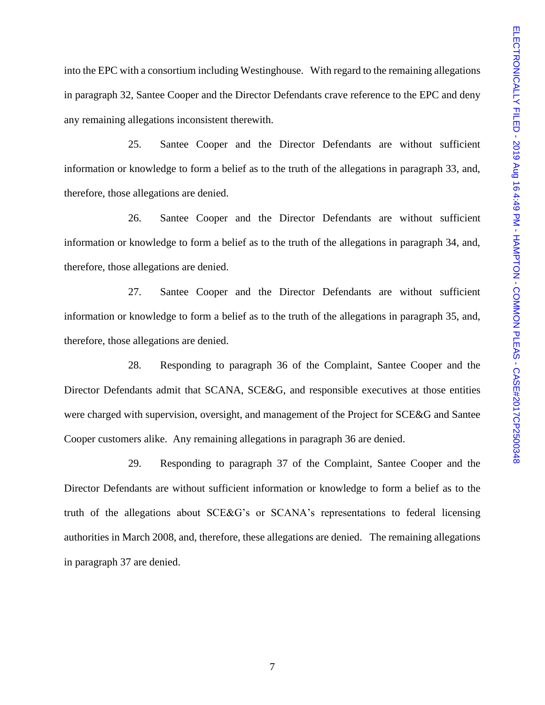into the EPC with a consortium including Westinghouse. With regard to the remaining allegations in paragraph 32, Santee Cooper and the Director Defendants crave reference to the EPC and deny any remaining allegations inconsistent therewith.

25. Santee Cooper and the Director Defendants are without sufficient information or knowledge to form a belief as to the truth of the allegations in paragraph 33, and, therefore, those allegations are denied.

26. Santee Cooper and the Director Defendants are without sufficient information or knowledge to form a belief as to the truth of the allegations in paragraph 34, and, therefore, those allegations are denied.

27. Santee Cooper and the Director Defendants are without sufficient information or knowledge to form a belief as to the truth of the allegations in paragraph 35, and, therefore, those allegations are denied.

28. Responding to paragraph 36 of the Complaint, Santee Cooper and the Director Defendants admit that SCANA, SCE&G, and responsible executives at those entities were charged with supervision, oversight, and management of the Project for SCE&G and Santee Cooper customers alike. Any remaining allegations in paragraph 36 are denied.

29. Responding to paragraph 37 of the Complaint, Santee Cooper and the Director Defendants are without sufficient information or knowledge to form a belief as to the truth of the allegations about SCE&G's or SCANA's representations to federal licensing authorities in March 2008, and, therefore, these allegations are denied. The remaining allegations in paragraph 37 are denied.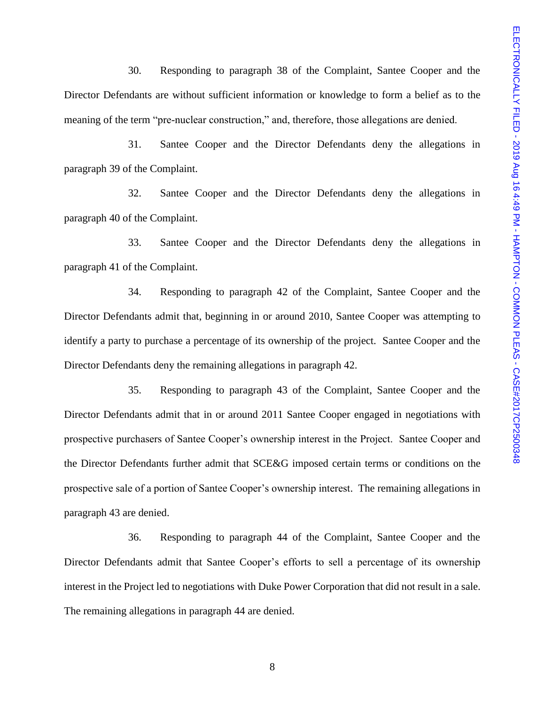30. Responding to paragraph 38 of the Complaint, Santee Cooper and the Director Defendants are without sufficient information or knowledge to form a belief as to the meaning of the term "pre-nuclear construction," and, therefore, those allegations are denied.

31. Santee Cooper and the Director Defendants deny the allegations in paragraph 39 of the Complaint.

32. Santee Cooper and the Director Defendants deny the allegations in paragraph 40 of the Complaint.

33. Santee Cooper and the Director Defendants deny the allegations in paragraph 41 of the Complaint.

34. Responding to paragraph 42 of the Complaint, Santee Cooper and the Director Defendants admit that, beginning in or around 2010, Santee Cooper was attempting to identify a party to purchase a percentage of its ownership of the project. Santee Cooper and the Director Defendants deny the remaining allegations in paragraph 42.

35. Responding to paragraph 43 of the Complaint, Santee Cooper and the Director Defendants admit that in or around 2011 Santee Cooper engaged in negotiations with prospective purchasers of Santee Cooper's ownership interest in the Project. Santee Cooper and the Director Defendants further admit that SCE&G imposed certain terms or conditions on the prospective sale of a portion of Santee Cooper's ownership interest. The remaining allegations in paragraph 43 are denied.

36. Responding to paragraph 44 of the Complaint, Santee Cooper and the Director Defendants admit that Santee Cooper's efforts to sell a percentage of its ownership interest in the Project led to negotiations with Duke Power Corporation that did not result in a sale. The remaining allegations in paragraph 44 are denied.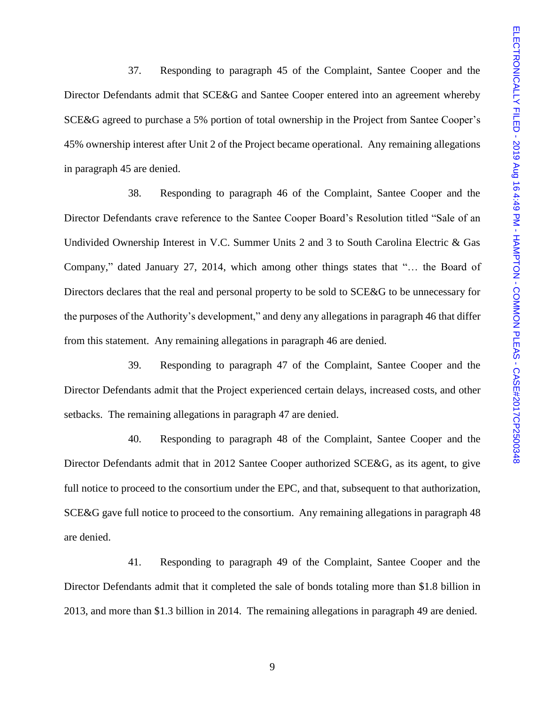37. Responding to paragraph 45 of the Complaint, Santee Cooper and the Director Defendants admit that SCE&G and Santee Cooper entered into an agreement whereby SCE&G agreed to purchase a 5% portion of total ownership in the Project from Santee Cooper's 45% ownership interest after Unit 2 of the Project became operational. Any remaining allegations in paragraph 45 are denied.

38. Responding to paragraph 46 of the Complaint, Santee Cooper and the Director Defendants crave reference to the Santee Cooper Board's Resolution titled "Sale of an Undivided Ownership Interest in V.C. Summer Units 2 and 3 to South Carolina Electric & Gas Company," dated January 27, 2014, which among other things states that "… the Board of Directors declares that the real and personal property to be sold to SCE&G to be unnecessary for the purposes of the Authority's development," and deny any allegations in paragraph 46 that differ from this statement. Any remaining allegations in paragraph 46 are denied.

39. Responding to paragraph 47 of the Complaint, Santee Cooper and the Director Defendants admit that the Project experienced certain delays, increased costs, and other setbacks. The remaining allegations in paragraph 47 are denied.

40. Responding to paragraph 48 of the Complaint, Santee Cooper and the Director Defendants admit that in 2012 Santee Cooper authorized SCE&G, as its agent, to give full notice to proceed to the consortium under the EPC, and that, subsequent to that authorization, SCE&G gave full notice to proceed to the consortium. Any remaining allegations in paragraph 48 are denied.

41. Responding to paragraph 49 of the Complaint, Santee Cooper and the Director Defendants admit that it completed the sale of bonds totaling more than \$1.8 billion in 2013, and more than \$1.3 billion in 2014. The remaining allegations in paragraph 49 are denied.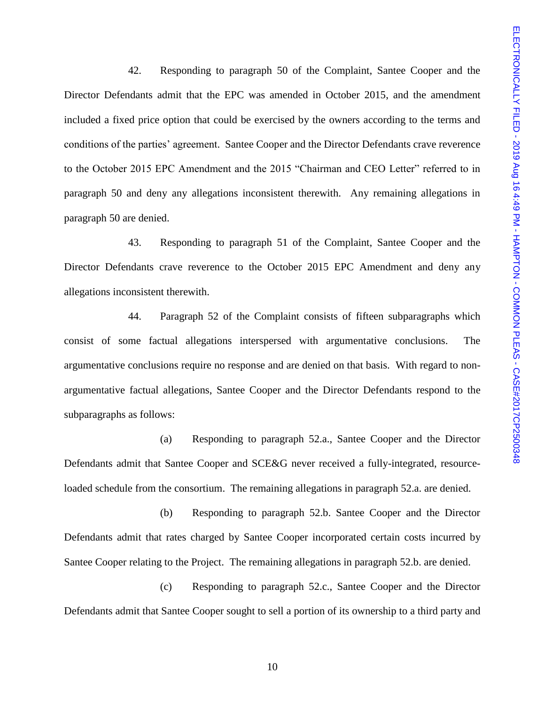42. Responding to paragraph 50 of the Complaint, Santee Cooper and the Director Defendants admit that the EPC was amended in October 2015, and the amendment included a fixed price option that could be exercised by the owners according to the terms and conditions of the parties' agreement. Santee Cooper and the Director Defendants crave reverence to the October 2015 EPC Amendment and the 2015 "Chairman and CEO Letter" referred to in paragraph 50 and deny any allegations inconsistent therewith. Any remaining allegations in paragraph 50 are denied.

43. Responding to paragraph 51 of the Complaint, Santee Cooper and the Director Defendants crave reverence to the October 2015 EPC Amendment and deny any allegations inconsistent therewith.

44. Paragraph 52 of the Complaint consists of fifteen subparagraphs which consist of some factual allegations interspersed with argumentative conclusions. The argumentative conclusions require no response and are denied on that basis. With regard to nonargumentative factual allegations, Santee Cooper and the Director Defendants respond to the subparagraphs as follows:

(a) Responding to paragraph 52.a., Santee Cooper and the Director Defendants admit that Santee Cooper and SCE&G never received a fully-integrated, resourceloaded schedule from the consortium. The remaining allegations in paragraph 52.a. are denied.

(b) Responding to paragraph 52.b. Santee Cooper and the Director Defendants admit that rates charged by Santee Cooper incorporated certain costs incurred by Santee Cooper relating to the Project. The remaining allegations in paragraph 52.b. are denied.

(c) Responding to paragraph 52.c., Santee Cooper and the Director Defendants admit that Santee Cooper sought to sell a portion of its ownership to a third party and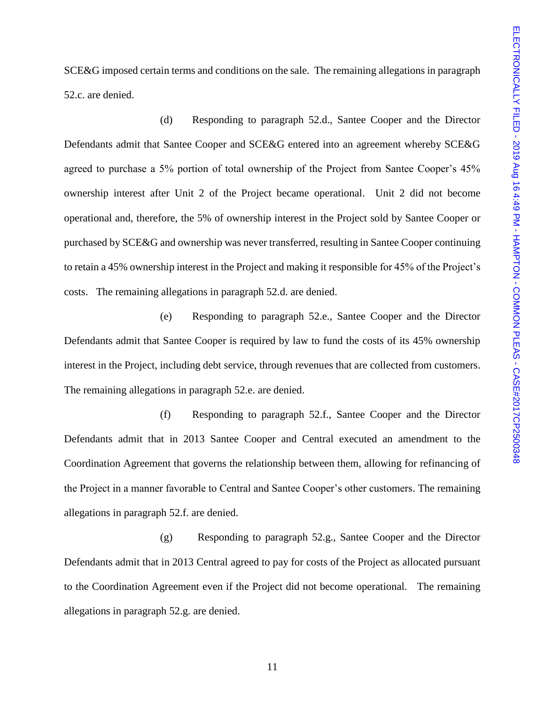SCE&G imposed certain terms and conditions on the sale. The remaining allegations in paragraph 52.c. are denied.

(d) Responding to paragraph 52.d., Santee Cooper and the Director Defendants admit that Santee Cooper and SCE&G entered into an agreement whereby SCE&G agreed to purchase a 5% portion of total ownership of the Project from Santee Cooper's 45% ownership interest after Unit 2 of the Project became operational. Unit 2 did not become operational and, therefore, the 5% of ownership interest in the Project sold by Santee Cooper or purchased by SCE&G and ownership was never transferred, resulting in Santee Cooper continuing to retain a 45% ownership interest in the Project and making it responsible for 45% of the Project's costs. The remaining allegations in paragraph 52.d. are denied.

(e) Responding to paragraph 52.e., Santee Cooper and the Director Defendants admit that Santee Cooper is required by law to fund the costs of its 45% ownership interest in the Project, including debt service, through revenues that are collected from customers. The remaining allegations in paragraph 52.e. are denied.

(f) Responding to paragraph 52.f., Santee Cooper and the Director Defendants admit that in 2013 Santee Cooper and Central executed an amendment to the Coordination Agreement that governs the relationship between them, allowing for refinancing of the Project in a manner favorable to Central and Santee Cooper's other customers. The remaining allegations in paragraph 52.f. are denied.

(g) Responding to paragraph 52.g., Santee Cooper and the Director Defendants admit that in 2013 Central agreed to pay for costs of the Project as allocated pursuant to the Coordination Agreement even if the Project did not become operational. The remaining allegations in paragraph 52.g. are denied.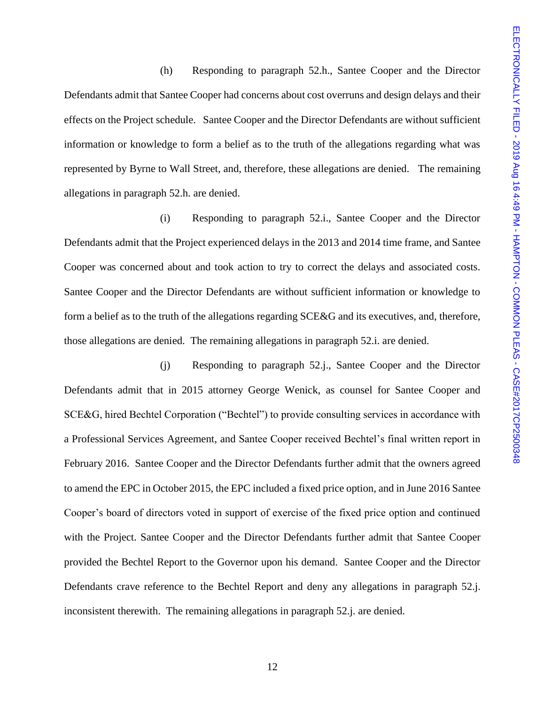(h) Responding to paragraph 52.h., Santee Cooper and the Director Defendants admit that Santee Cooper had concerns about cost overruns and design delays and their effects on the Project schedule. Santee Cooper and the Director Defendants are without sufficient information or knowledge to form a belief as to the truth of the allegations regarding what was represented by Byrne to Wall Street, and, therefore, these allegations are denied. The remaining allegations in paragraph 52.h. are denied.

(i) Responding to paragraph 52.i., Santee Cooper and the Director Defendants admit that the Project experienced delays in the 2013 and 2014 time frame, and Santee Cooper was concerned about and took action to try to correct the delays and associated costs. Santee Cooper and the Director Defendants are without sufficient information or knowledge to form a belief as to the truth of the allegations regarding SCE&G and its executives, and, therefore, those allegations are denied. The remaining allegations in paragraph 52.i. are denied.

(j) Responding to paragraph 52.j., Santee Cooper and the Director Defendants admit that in 2015 attorney George Wenick, as counsel for Santee Cooper and SCE&G, hired Bechtel Corporation ("Bechtel") to provide consulting services in accordance with a Professional Services Agreement, and Santee Cooper received Bechtel's final written report in February 2016. Santee Cooper and the Director Defendants further admit that the owners agreed to amend the EPC in October 2015, the EPC included a fixed price option, and in June 2016 Santee Cooper's board of directors voted in support of exercise of the fixed price option and continued with the Project. Santee Cooper and the Director Defendants further admit that Santee Cooper provided the Bechtel Report to the Governor upon his demand. Santee Cooper and the Director Defendants crave reference to the Bechtel Report and deny any allegations in paragraph 52.j. inconsistent therewith. The remaining allegations in paragraph 52.j. are denied.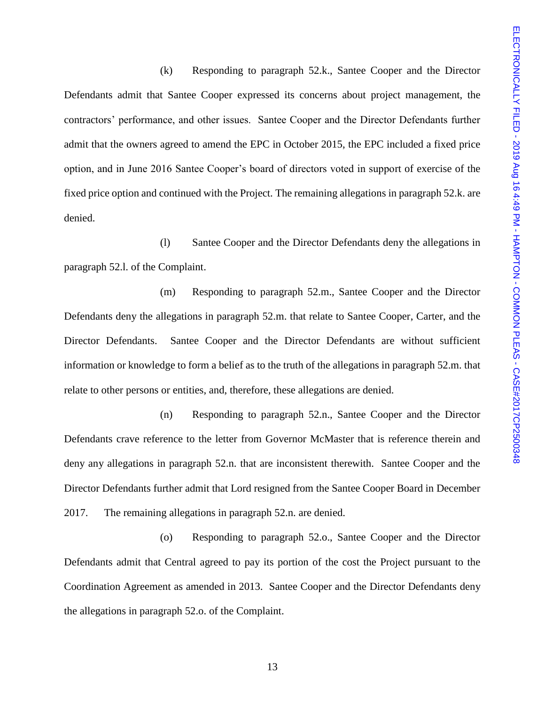(k) Responding to paragraph 52.k., Santee Cooper and the Director Defendants admit that Santee Cooper expressed its concerns about project management, the contractors' performance, and other issues. Santee Cooper and the Director Defendants further admit that the owners agreed to amend the EPC in October 2015, the EPC included a fixed price option, and in June 2016 Santee Cooper's board of directors voted in support of exercise of the fixed price option and continued with the Project. The remaining allegations in paragraph 52.k. are denied.

(l) Santee Cooper and the Director Defendants deny the allegations in paragraph 52.l. of the Complaint.

(m) Responding to paragraph 52.m., Santee Cooper and the Director Defendants deny the allegations in paragraph 52.m. that relate to Santee Cooper, Carter, and the Director Defendants. Santee Cooper and the Director Defendants are without sufficient information or knowledge to form a belief as to the truth of the allegations in paragraph 52.m. that relate to other persons or entities, and, therefore, these allegations are denied.

(n) Responding to paragraph 52.n., Santee Cooper and the Director Defendants crave reference to the letter from Governor McMaster that is reference therein and deny any allegations in paragraph 52.n. that are inconsistent therewith. Santee Cooper and the Director Defendants further admit that Lord resigned from the Santee Cooper Board in December 2017. The remaining allegations in paragraph 52.n. are denied.

(o) Responding to paragraph 52.o., Santee Cooper and the Director Defendants admit that Central agreed to pay its portion of the cost the Project pursuant to the Coordination Agreement as amended in 2013. Santee Cooper and the Director Defendants deny the allegations in paragraph 52.o. of the Complaint.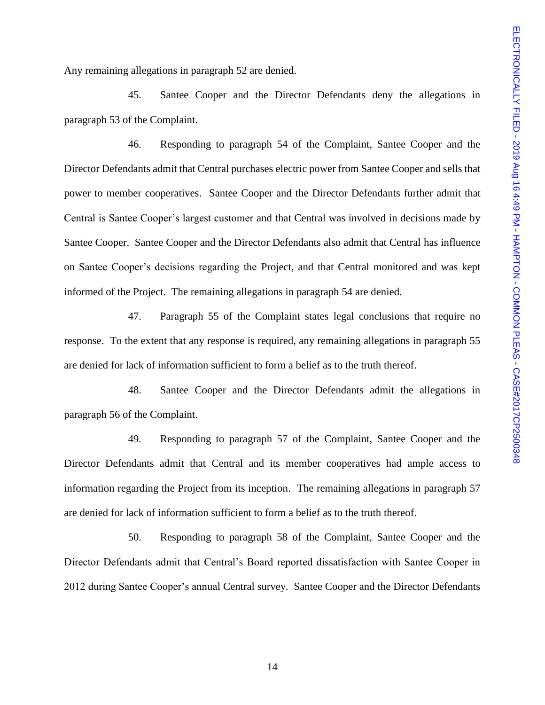Any remaining allegations in paragraph 52 are denied.

45. Santee Cooper and the Director Defendants deny the allegations in paragraph 53 of the Complaint.

46. Responding to paragraph 54 of the Complaint, Santee Cooper and the Director Defendants admit that Central purchases electric power from Santee Cooper and sells that power to member cooperatives. Santee Cooper and the Director Defendants further admit that Central is Santee Cooper's largest customer and that Central was involved in decisions made by Santee Cooper. Santee Cooper and the Director Defendants also admit that Central has influence on Santee Cooper's decisions regarding the Project, and that Central monitored and was kept informed of the Project. The remaining allegations in paragraph 54 are denied.

47. Paragraph 55 of the Complaint states legal conclusions that require no response. To the extent that any response is required, any remaining allegations in paragraph 55 are denied for lack of information sufficient to form a belief as to the truth thereof.

48. Santee Cooper and the Director Defendants admit the allegations in paragraph 56 of the Complaint.

49. Responding to paragraph 57 of the Complaint, Santee Cooper and the Director Defendants admit that Central and its member cooperatives had ample access to information regarding the Project from its inception. The remaining allegations in paragraph 57 are denied for lack of information sufficient to form a belief as to the truth thereof.

50. Responding to paragraph 58 of the Complaint, Santee Cooper and the Director Defendants admit that Central's Board reported dissatisfaction with Santee Cooper in 2012 during Santee Cooper's annual Central survey. Santee Cooper and the Director Defendants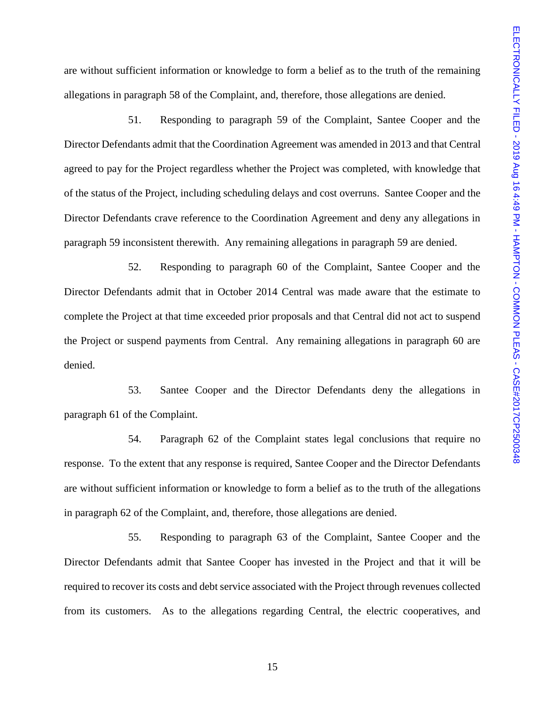are without sufficient information or knowledge to form a belief as to the truth of the remaining allegations in paragraph 58 of the Complaint, and, therefore, those allegations are denied.

51. Responding to paragraph 59 of the Complaint, Santee Cooper and the Director Defendants admit that the Coordination Agreement was amended in 2013 and that Central agreed to pay for the Project regardless whether the Project was completed, with knowledge that of the status of the Project, including scheduling delays and cost overruns. Santee Cooper and the Director Defendants crave reference to the Coordination Agreement and deny any allegations in paragraph 59 inconsistent therewith. Any remaining allegations in paragraph 59 are denied.

52. Responding to paragraph 60 of the Complaint, Santee Cooper and the Director Defendants admit that in October 2014 Central was made aware that the estimate to complete the Project at that time exceeded prior proposals and that Central did not act to suspend the Project or suspend payments from Central. Any remaining allegations in paragraph 60 are denied.

53. Santee Cooper and the Director Defendants deny the allegations in paragraph 61 of the Complaint.

54. Paragraph 62 of the Complaint states legal conclusions that require no response. To the extent that any response is required, Santee Cooper and the Director Defendants are without sufficient information or knowledge to form a belief as to the truth of the allegations in paragraph 62 of the Complaint, and, therefore, those allegations are denied.

55. Responding to paragraph 63 of the Complaint, Santee Cooper and the Director Defendants admit that Santee Cooper has invested in the Project and that it will be required to recover its costs and debt service associated with the Project through revenues collected from its customers. As to the allegations regarding Central, the electric cooperatives, and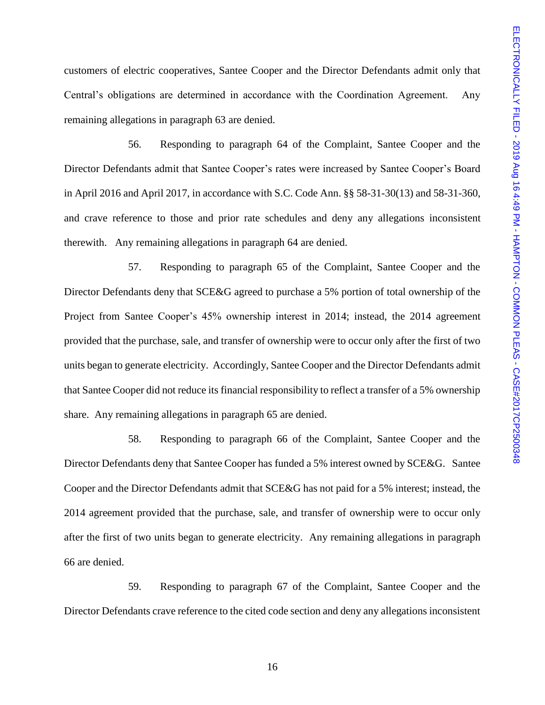customers of electric cooperatives, Santee Cooper and the Director Defendants admit only that Central's obligations are determined in accordance with the Coordination Agreement. Any remaining allegations in paragraph 63 are denied.

56. Responding to paragraph 64 of the Complaint, Santee Cooper and the Director Defendants admit that Santee Cooper's rates were increased by Santee Cooper's Board in April 2016 and April 2017, in accordance with S.C. Code Ann. §§ 58-31-30(13) and 58-31-360, and crave reference to those and prior rate schedules and deny any allegations inconsistent therewith. Any remaining allegations in paragraph 64 are denied.

57. Responding to paragraph 65 of the Complaint, Santee Cooper and the Director Defendants deny that SCE&G agreed to purchase a 5% portion of total ownership of the Project from Santee Cooper's 45% ownership interest in 2014; instead, the 2014 agreement provided that the purchase, sale, and transfer of ownership were to occur only after the first of two units began to generate electricity. Accordingly, Santee Cooper and the Director Defendants admit that Santee Cooper did not reduce its financial responsibility to reflect a transfer of a 5% ownership share. Any remaining allegations in paragraph 65 are denied.

58. Responding to paragraph 66 of the Complaint, Santee Cooper and the Director Defendants deny that Santee Cooper has funded a 5% interest owned by SCE&G. Santee Cooper and the Director Defendants admit that SCE&G has not paid for a 5% interest; instead, the 2014 agreement provided that the purchase, sale, and transfer of ownership were to occur only after the first of two units began to generate electricity. Any remaining allegations in paragraph 66 are denied.

59. Responding to paragraph 67 of the Complaint, Santee Cooper and the Director Defendants crave reference to the cited code section and deny any allegations inconsistent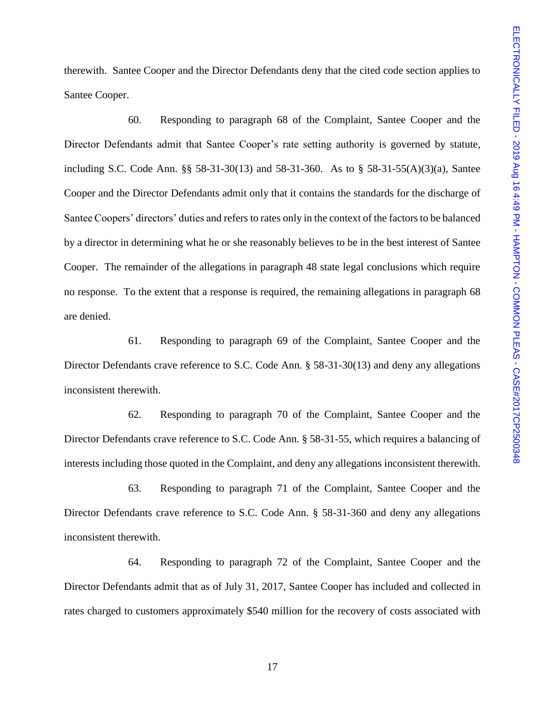therewith. Santee Cooper and the Director Defendants deny that the cited code section applies to Santee Cooper.

60. Responding to paragraph 68 of the Complaint, Santee Cooper and the Director Defendants admit that Santee Cooper's rate setting authority is governed by statute, including S.C. Code Ann. §§ 58-31-30(13) and 58-31-360. As to § 58-31-55(A)(3)(a), Santee Cooper and the Director Defendants admit only that it contains the standards for the discharge of Santee Coopers' directors' duties and refers to rates only in the context of the factors to be balanced by a director in determining what he or she reasonably believes to be in the best interest of Santee Cooper. The remainder of the allegations in paragraph 48 state legal conclusions which require no response. To the extent that a response is required, the remaining allegations in paragraph 68 are denied.

61. Responding to paragraph 69 of the Complaint, Santee Cooper and the Director Defendants crave reference to S.C. Code Ann. § 58-31-30(13) and deny any allegations inconsistent therewith.

62. Responding to paragraph 70 of the Complaint, Santee Cooper and the Director Defendants crave reference to S.C. Code Ann. § 58-31-55, which requires a balancing of interests including those quoted in the Complaint, and deny any allegations inconsistent therewith.

63. Responding to paragraph 71 of the Complaint, Santee Cooper and the Director Defendants crave reference to S.C. Code Ann. § 58-31-360 and deny any allegations inconsistent therewith.

64. Responding to paragraph 72 of the Complaint, Santee Cooper and the Director Defendants admit that as of July 31, 2017, Santee Cooper has included and collected in rates charged to customers approximately \$540 million for the recovery of costs associated with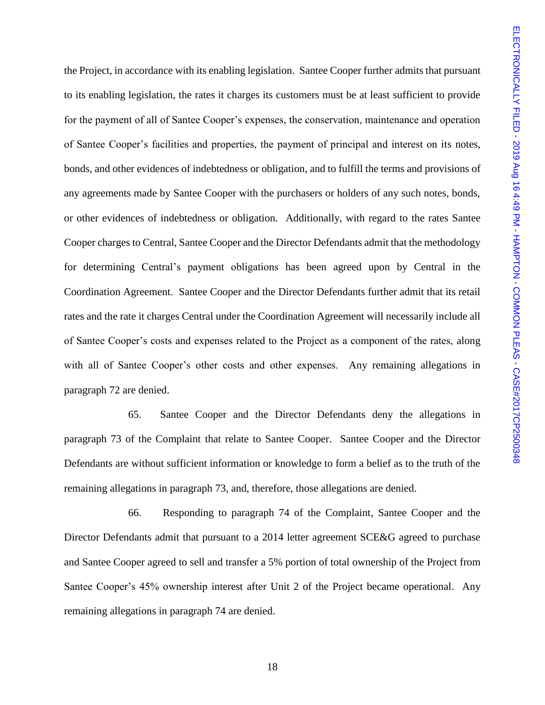the Project, in accordance with its enabling legislation. Santee Cooper further admits that pursuant to its enabling legislation, the rates it charges its customers must be at least sufficient to provide for the payment of all of Santee Cooper's expenses, the conservation, maintenance and operation of Santee Cooper's facilities and properties, the payment of principal and interest on its notes, bonds, and other evidences of indebtedness or obligation, and to fulfill the terms and provisions of any agreements made by Santee Cooper with the purchasers or holders of any such notes, bonds, or other evidences of indebtedness or obligation. Additionally, with regard to the rates Santee Cooper charges to Central, Santee Cooper and the Director Defendants admit that the methodology for determining Central's payment obligations has been agreed upon by Central in the Coordination Agreement. Santee Cooper and the Director Defendants further admit that its retail rates and the rate it charges Central under the Coordination Agreement will necessarily include all of Santee Cooper's costs and expenses related to the Project as a component of the rates, along with all of Santee Cooper's other costs and other expenses. Any remaining allegations in paragraph 72 are denied.

65. Santee Cooper and the Director Defendants deny the allegations in paragraph 73 of the Complaint that relate to Santee Cooper. Santee Cooper and the Director Defendants are without sufficient information or knowledge to form a belief as to the truth of the remaining allegations in paragraph 73, and, therefore, those allegations are denied.

66. Responding to paragraph 74 of the Complaint, Santee Cooper and the Director Defendants admit that pursuant to a 2014 letter agreement SCE&G agreed to purchase and Santee Cooper agreed to sell and transfer a 5% portion of total ownership of the Project from Santee Cooper's 45% ownership interest after Unit 2 of the Project became operational. Any remaining allegations in paragraph 74 are denied.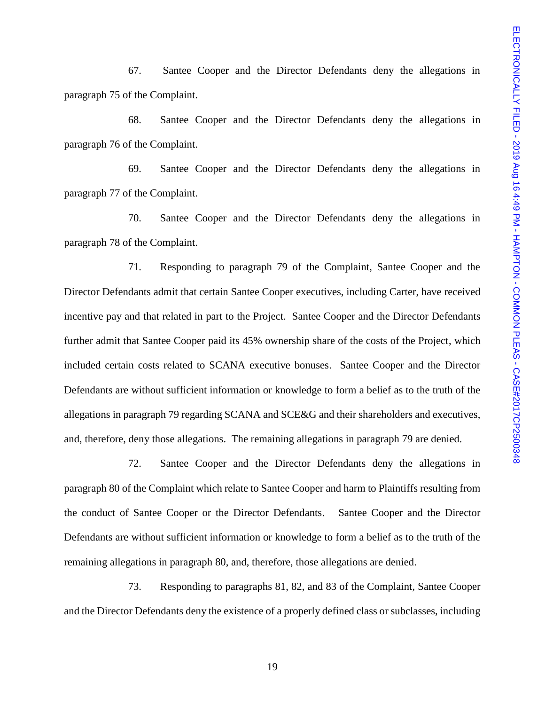67. Santee Cooper and the Director Defendants deny the allegations in paragraph 75 of the Complaint.

68. Santee Cooper and the Director Defendants deny the allegations in paragraph 76 of the Complaint.

69. Santee Cooper and the Director Defendants deny the allegations in paragraph 77 of the Complaint.

70. Santee Cooper and the Director Defendants deny the allegations in paragraph 78 of the Complaint.

71. Responding to paragraph 79 of the Complaint, Santee Cooper and the Director Defendants admit that certain Santee Cooper executives, including Carter, have received incentive pay and that related in part to the Project. Santee Cooper and the Director Defendants further admit that Santee Cooper paid its 45% ownership share of the costs of the Project, which included certain costs related to SCANA executive bonuses. Santee Cooper and the Director Defendants are without sufficient information or knowledge to form a belief as to the truth of the allegations in paragraph 79 regarding SCANA and SCE&G and their shareholders and executives, and, therefore, deny those allegations. The remaining allegations in paragraph 79 are denied.

72. Santee Cooper and the Director Defendants deny the allegations in paragraph 80 of the Complaint which relate to Santee Cooper and harm to Plaintiffs resulting from the conduct of Santee Cooper or the Director Defendants. Santee Cooper and the Director Defendants are without sufficient information or knowledge to form a belief as to the truth of the remaining allegations in paragraph 80, and, therefore, those allegations are denied.

73. Responding to paragraphs 81, 82, and 83 of the Complaint, Santee Cooper and the Director Defendants deny the existence of a properly defined class or subclasses, including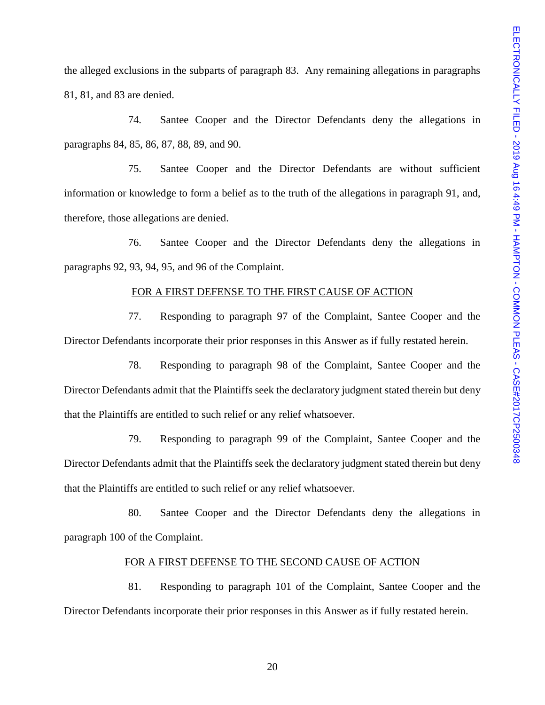the alleged exclusions in the subparts of paragraph 83. Any remaining allegations in paragraphs 81, 81, and 83 are denied.

74. Santee Cooper and the Director Defendants deny the allegations in paragraphs 84, 85, 86, 87, 88, 89, and 90.

75. Santee Cooper and the Director Defendants are without sufficient information or knowledge to form a belief as to the truth of the allegations in paragraph 91, and, therefore, those allegations are denied.

76. Santee Cooper and the Director Defendants deny the allegations in paragraphs 92, 93, 94, 95, and 96 of the Complaint.

## FOR A FIRST DEFENSE TO THE FIRST CAUSE OF ACTION

77. Responding to paragraph 97 of the Complaint, Santee Cooper and the Director Defendants incorporate their prior responses in this Answer as if fully restated herein.

78. Responding to paragraph 98 of the Complaint, Santee Cooper and the Director Defendants admit that the Plaintiffs seek the declaratory judgment stated therein but deny that the Plaintiffs are entitled to such relief or any relief whatsoever.

79. Responding to paragraph 99 of the Complaint, Santee Cooper and the Director Defendants admit that the Plaintiffs seek the declaratory judgment stated therein but deny that the Plaintiffs are entitled to such relief or any relief whatsoever.

80. Santee Cooper and the Director Defendants deny the allegations in paragraph 100 of the Complaint.

## FOR A FIRST DEFENSE TO THE SECOND CAUSE OF ACTION

81. Responding to paragraph 101 of the Complaint, Santee Cooper and the Director Defendants incorporate their prior responses in this Answer as if fully restated herein.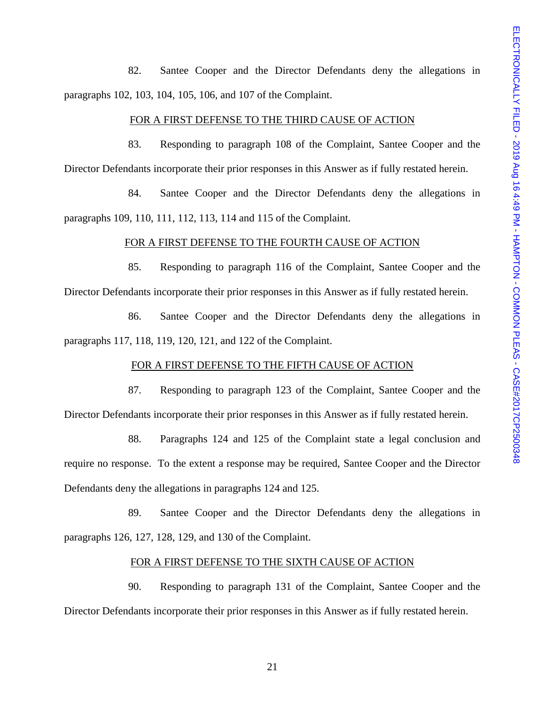82. Santee Cooper and the Director Defendants deny the allegations in paragraphs 102, 103, 104, 105, 106, and 107 of the Complaint.

### FOR A FIRST DEFENSE TO THE THIRD CAUSE OF ACTION

83. Responding to paragraph 108 of the Complaint, Santee Cooper and the Director Defendants incorporate their prior responses in this Answer as if fully restated herein.

84. Santee Cooper and the Director Defendants deny the allegations in paragraphs 109, 110, 111, 112, 113, 114 and 115 of the Complaint.

#### FOR A FIRST DEFENSE TO THE FOURTH CAUSE OF ACTION

85. Responding to paragraph 116 of the Complaint, Santee Cooper and the Director Defendants incorporate their prior responses in this Answer as if fully restated herein.

86. Santee Cooper and the Director Defendants deny the allegations in paragraphs 117, 118, 119, 120, 121, and 122 of the Complaint.

# FOR A FIRST DEFENSE TO THE FIFTH CAUSE OF ACTION

87. Responding to paragraph 123 of the Complaint, Santee Cooper and the Director Defendants incorporate their prior responses in this Answer as if fully restated herein.

88. Paragraphs 124 and 125 of the Complaint state a legal conclusion and require no response. To the extent a response may be required, Santee Cooper and the Director Defendants deny the allegations in paragraphs 124 and 125.

89. Santee Cooper and the Director Defendants deny the allegations in paragraphs 126, 127, 128, 129, and 130 of the Complaint.

### FOR A FIRST DEFENSE TO THE SIXTH CAUSE OF ACTION

90. Responding to paragraph 131 of the Complaint, Santee Cooper and the Director Defendants incorporate their prior responses in this Answer as if fully restated herein.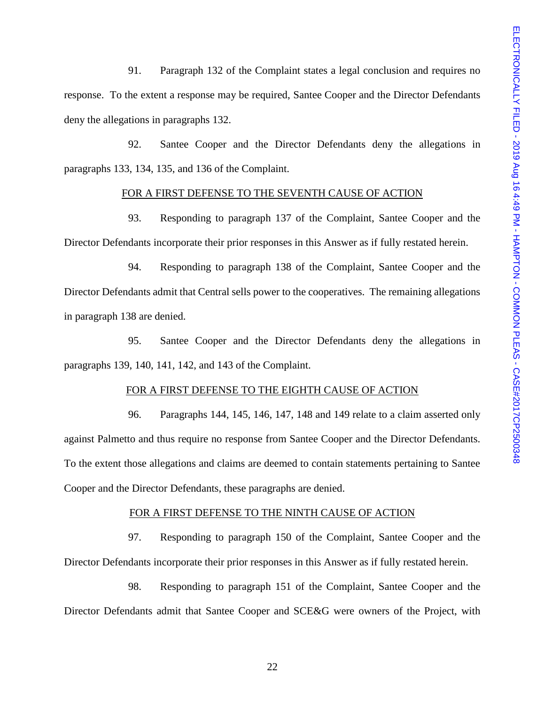91. Paragraph 132 of the Complaint states a legal conclusion and requires no response. To the extent a response may be required, Santee Cooper and the Director Defendants deny the allegations in paragraphs 132.

92. Santee Cooper and the Director Defendants deny the allegations in paragraphs 133, 134, 135, and 136 of the Complaint.

### FOR A FIRST DEFENSE TO THE SEVENTH CAUSE OF ACTION

93. Responding to paragraph 137 of the Complaint, Santee Cooper and the Director Defendants incorporate their prior responses in this Answer as if fully restated herein.

94. Responding to paragraph 138 of the Complaint, Santee Cooper and the Director Defendants admit that Central sells power to the cooperatives. The remaining allegations in paragraph 138 are denied.

95. Santee Cooper and the Director Defendants deny the allegations in paragraphs 139, 140, 141, 142, and 143 of the Complaint.

#### FOR A FIRST DEFENSE TO THE EIGHTH CAUSE OF ACTION

96. Paragraphs 144, 145, 146, 147, 148 and 149 relate to a claim asserted only against Palmetto and thus require no response from Santee Cooper and the Director Defendants. To the extent those allegations and claims are deemed to contain statements pertaining to Santee Cooper and the Director Defendants, these paragraphs are denied.

#### FOR A FIRST DEFENSE TO THE NINTH CAUSE OF ACTION

97. Responding to paragraph 150 of the Complaint, Santee Cooper and the Director Defendants incorporate their prior responses in this Answer as if fully restated herein.

98. Responding to paragraph 151 of the Complaint, Santee Cooper and the Director Defendants admit that Santee Cooper and SCE&G were owners of the Project, with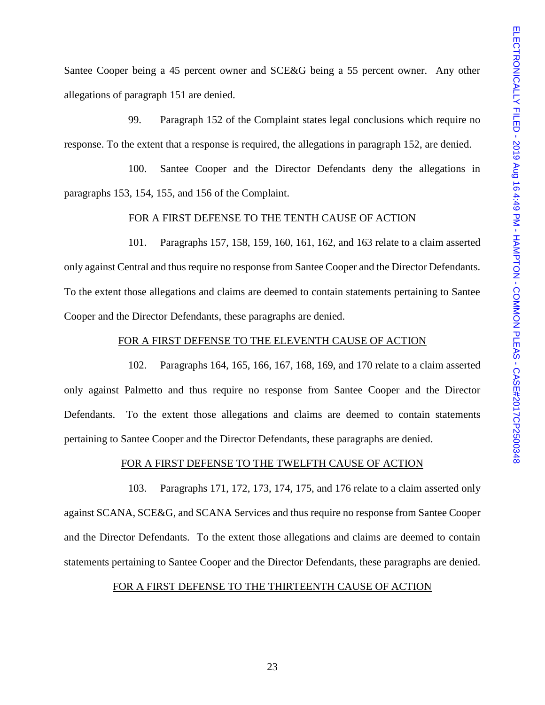Santee Cooper being a 45 percent owner and SCE&G being a 55 percent owner. Any other allegations of paragraph 151 are denied.

99. Paragraph 152 of the Complaint states legal conclusions which require no response. To the extent that a response is required, the allegations in paragraph 152, are denied.

100. Santee Cooper and the Director Defendants deny the allegations in paragraphs 153, 154, 155, and 156 of the Complaint.

### FOR A FIRST DEFENSE TO THE TENTH CAUSE OF ACTION

101. Paragraphs 157, 158, 159, 160, 161, 162, and 163 relate to a claim asserted only against Central and thus require no response from Santee Cooper and the Director Defendants. To the extent those allegations and claims are deemed to contain statements pertaining to Santee Cooper and the Director Defendants, these paragraphs are denied.

## FOR A FIRST DEFENSE TO THE ELEVENTH CAUSE OF ACTION

102. Paragraphs 164, 165, 166, 167, 168, 169, and 170 relate to a claim asserted only against Palmetto and thus require no response from Santee Cooper and the Director Defendants. To the extent those allegations and claims are deemed to contain statements pertaining to Santee Cooper and the Director Defendants, these paragraphs are denied.

## FOR A FIRST DEFENSE TO THE TWELFTH CAUSE OF ACTION

103. Paragraphs 171, 172, 173, 174, 175, and 176 relate to a claim asserted only against SCANA, SCE&G, and SCANA Services and thus require no response from Santee Cooper and the Director Defendants. To the extent those allegations and claims are deemed to contain statements pertaining to Santee Cooper and the Director Defendants, these paragraphs are denied.

### FOR A FIRST DEFENSE TO THE THIRTEENTH CAUSE OF ACTION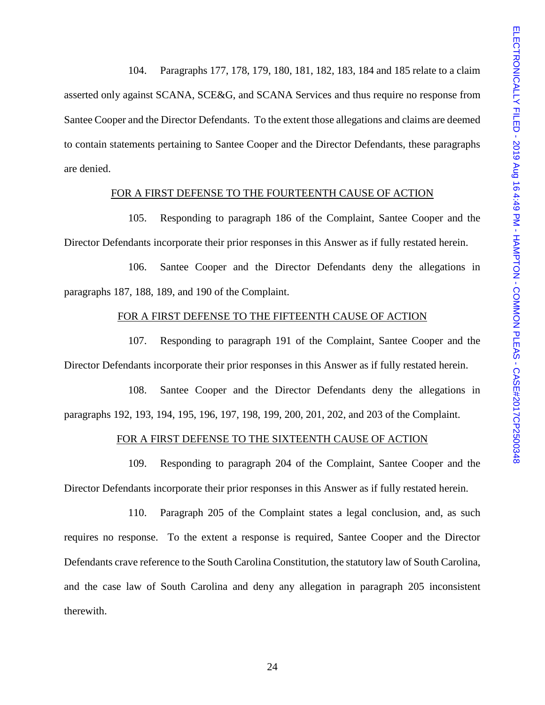104. Paragraphs 177, 178, 179, 180, 181, 182, 183, 184 and 185 relate to a claim asserted only against SCANA, SCE&G, and SCANA Services and thus require no response from Santee Cooper and the Director Defendants. To the extent those allegations and claims are deemed to contain statements pertaining to Santee Cooper and the Director Defendants, these paragraphs are denied.

### FOR A FIRST DEFENSE TO THE FOURTEENTH CAUSE OF ACTION

105. Responding to paragraph 186 of the Complaint, Santee Cooper and the Director Defendants incorporate their prior responses in this Answer as if fully restated herein.

106. Santee Cooper and the Director Defendants deny the allegations in paragraphs 187, 188, 189, and 190 of the Complaint.

### FOR A FIRST DEFENSE TO THE FIFTEENTH CAUSE OF ACTION

107. Responding to paragraph 191 of the Complaint, Santee Cooper and the Director Defendants incorporate their prior responses in this Answer as if fully restated herein.

108. Santee Cooper and the Director Defendants deny the allegations in paragraphs 192, 193, 194, 195, 196, 197, 198, 199, 200, 201, 202, and 203 of the Complaint.

## FOR A FIRST DEFENSE TO THE SIXTEENTH CAUSE OF ACTION

109. Responding to paragraph 204 of the Complaint, Santee Cooper and the Director Defendants incorporate their prior responses in this Answer as if fully restated herein.

110. Paragraph 205 of the Complaint states a legal conclusion, and, as such requires no response. To the extent a response is required, Santee Cooper and the Director Defendants crave reference to the South Carolina Constitution, the statutory law of South Carolina, and the case law of South Carolina and deny any allegation in paragraph 205 inconsistent therewith.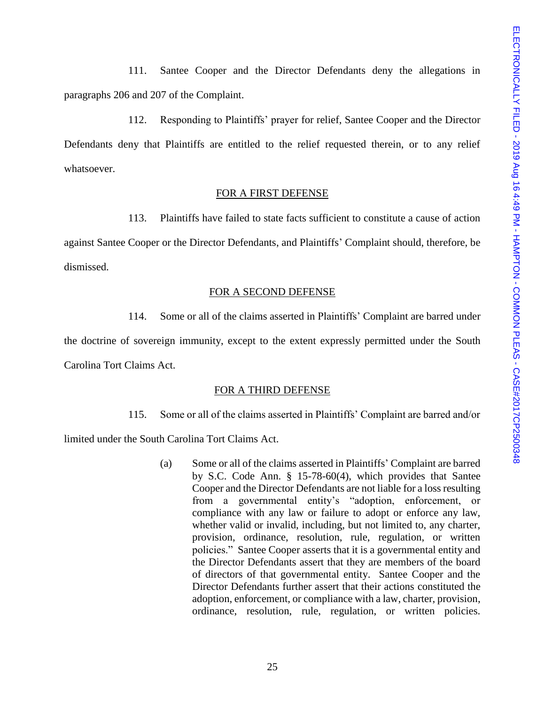111. Santee Cooper and the Director Defendants deny the allegations in paragraphs 206 and 207 of the Complaint.

112. Responding to Plaintiffs' prayer for relief, Santee Cooper and the Director Defendants deny that Plaintiffs are entitled to the relief requested therein, or to any relief whatsoever.

# FOR A FIRST DEFENSE

113. Plaintiffs have failed to state facts sufficient to constitute a cause of action against Santee Cooper or the Director Defendants, and Plaintiffs' Complaint should, therefore, be dismissed.

#### FOR A SECOND DEFENSE

114. Some or all of the claims asserted in Plaintiffs' Complaint are barred under

the doctrine of sovereign immunity, except to the extent expressly permitted under the South Carolina Tort Claims Act.

### FOR A THIRD DEFENSE

115. Some or all of the claims asserted in Plaintiffs' Complaint are barred and/or

limited under the South Carolina Tort Claims Act.

(a) Some or all of the claims asserted in Plaintiffs' Complaint are barred by S.C. Code Ann. § 15-78-60(4), which provides that Santee Cooper and the Director Defendants are not liable for a loss resulting from a governmental entity's "adoption, enforcement, or compliance with any law or failure to adopt or enforce any law, whether valid or invalid, including, but not limited to, any charter, provision, ordinance, resolution, rule, regulation, or written policies." Santee Cooper asserts that it is a governmental entity and the Director Defendants assert that they are members of the board of directors of that governmental entity. Santee Cooper and the Director Defendants further assert that their actions constituted the adoption, enforcement, or compliance with a law, charter, provision, ordinance, resolution, rule, regulation, or written policies.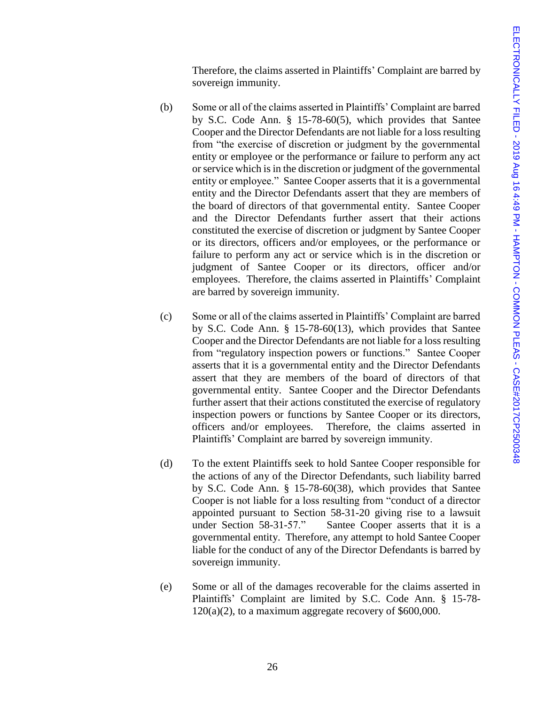Therefore, the claims asserted in Plaintiffs' Complaint are barred by sovereign immunity.

- (b) Some or all of the claims asserted in Plaintiffs' Complaint are barred by S.C. Code Ann. § 15-78-60(5), which provides that Santee Cooper and the Director Defendants are not liable for a loss resulting from "the exercise of discretion or judgment by the governmental entity or employee or the performance or failure to perform any act or service which is in the discretion or judgment of the governmental entity or employee." Santee Cooper asserts that it is a governmental entity and the Director Defendants assert that they are members of the board of directors of that governmental entity. Santee Cooper and the Director Defendants further assert that their actions constituted the exercise of discretion or judgment by Santee Cooper or its directors, officers and/or employees, or the performance or failure to perform any act or service which is in the discretion or judgment of Santee Cooper or its directors, officer and/or employees. Therefore, the claims asserted in Plaintiffs' Complaint are barred by sovereign immunity.
- (c) Some or all of the claims asserted in Plaintiffs' Complaint are barred by S.C. Code Ann. § 15-78-60(13), which provides that Santee Cooper and the Director Defendants are not liable for a loss resulting from "regulatory inspection powers or functions." Santee Cooper asserts that it is a governmental entity and the Director Defendants assert that they are members of the board of directors of that governmental entity. Santee Cooper and the Director Defendants further assert that their actions constituted the exercise of regulatory inspection powers or functions by Santee Cooper or its directors, officers and/or employees. Therefore, the claims asserted in Plaintiffs' Complaint are barred by sovereign immunity.
- (d) To the extent Plaintiffs seek to hold Santee Cooper responsible for the actions of any of the Director Defendants, such liability barred by S.C. Code Ann. § 15-78-60(38), which provides that Santee Cooper is not liable for a loss resulting from "conduct of a director appointed pursuant to Section 58-31-20 giving rise to a lawsuit under Section 58-31-57." Santee Cooper asserts that it is a governmental entity. Therefore, any attempt to hold Santee Cooper liable for the conduct of any of the Director Defendants is barred by sovereign immunity.
- (e) Some or all of the damages recoverable for the claims asserted in Plaintiffs' Complaint are limited by S.C. Code Ann. § 15-78- 120(a)(2), to a maximum aggregate recovery of \$600,000.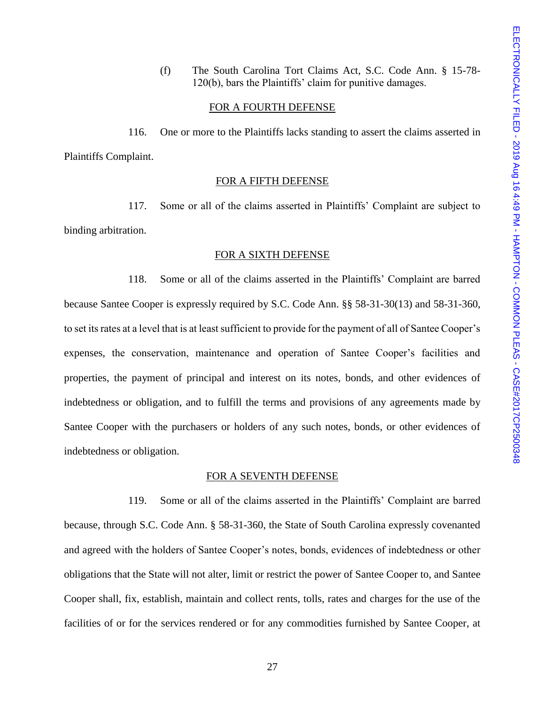(f) The South Carolina Tort Claims Act, S.C. Code Ann. § 15-78- 120(b), bars the Plaintiffs' claim for punitive damages.

### FOR A FOURTH DEFENSE

116. One or more to the Plaintiffs lacks standing to assert the claims asserted in Plaintiffs Complaint.

### FOR A FIFTH DEFENSE

117. Some or all of the claims asserted in Plaintiffs' Complaint are subject to binding arbitration.

## FOR A SIXTH DEFENSE

118. Some or all of the claims asserted in the Plaintiffs' Complaint are barred because Santee Cooper is expressly required by S.C. Code Ann. §§ 58-31-30(13) and 58-31-360, to set its rates at a level that is at least sufficient to provide for the payment of all of Santee Cooper's expenses, the conservation, maintenance and operation of Santee Cooper's facilities and properties, the payment of principal and interest on its notes, bonds, and other evidences of indebtedness or obligation, and to fulfill the terms and provisions of any agreements made by Santee Cooper with the purchasers or holders of any such notes, bonds, or other evidences of indebtedness or obligation.

### FOR A SEVENTH DEFENSE

119. Some or all of the claims asserted in the Plaintiffs' Complaint are barred because, through S.C. Code Ann. § 58-31-360, the State of South Carolina expressly covenanted and agreed with the holders of Santee Cooper's notes, bonds, evidences of indebtedness or other obligations that the State will not alter, limit or restrict the power of Santee Cooper to, and Santee Cooper shall, fix, establish, maintain and collect rents, tolls, rates and charges for the use of the facilities of or for the services rendered or for any commodities furnished by Santee Cooper, at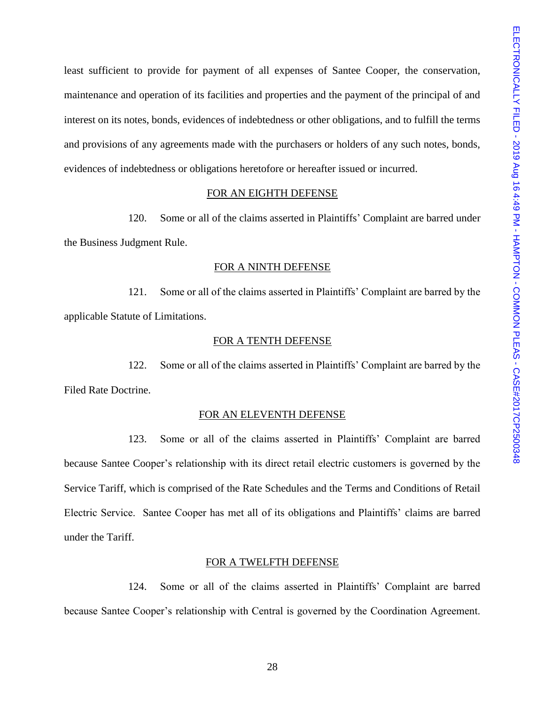least sufficient to provide for payment of all expenses of Santee Cooper, the conservation, maintenance and operation of its facilities and properties and the payment of the principal of and interest on its notes, bonds, evidences of indebtedness or other obligations, and to fulfill the terms and provisions of any agreements made with the purchasers or holders of any such notes, bonds, evidences of indebtedness or obligations heretofore or hereafter issued or incurred.

## FOR AN EIGHTH DEFENSE

120. Some or all of the claims asserted in Plaintiffs' Complaint are barred under the Business Judgment Rule.

#### FOR A NINTH DEFENSE

121. Some or all of the claims asserted in Plaintiffs' Complaint are barred by the applicable Statute of Limitations.

### FOR A TENTH DEFENSE

122. Some or all of the claims asserted in Plaintiffs' Complaint are barred by the Filed Rate Doctrine.

#### FOR AN ELEVENTH DEFENSE

123. Some or all of the claims asserted in Plaintiffs' Complaint are barred because Santee Cooper's relationship with its direct retail electric customers is governed by the Service Tariff, which is comprised of the Rate Schedules and the Terms and Conditions of Retail Electric Service. Santee Cooper has met all of its obligations and Plaintiffs' claims are barred under the Tariff.

#### FOR A TWELFTH DEFENSE

124. Some or all of the claims asserted in Plaintiffs' Complaint are barred because Santee Cooper's relationship with Central is governed by the Coordination Agreement.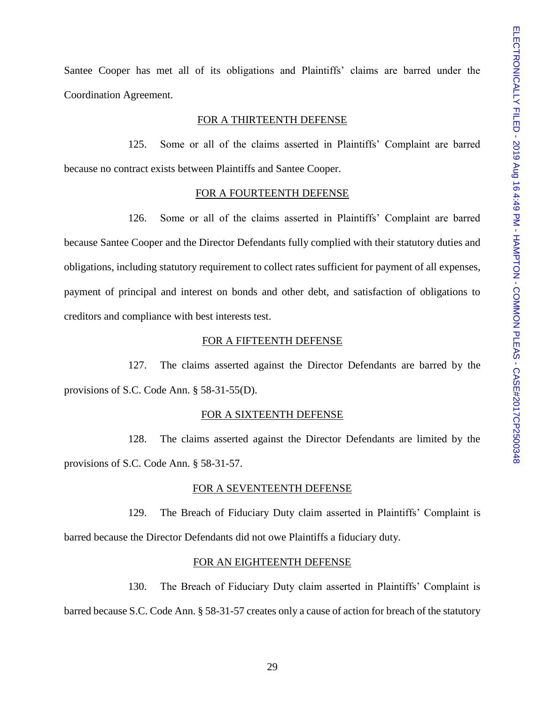Santee Cooper has met all of its obligations and Plaintiffs' claims are barred under the Coordination Agreement.

### FOR A THIRTEENTH DEFENSE

125. Some or all of the claims asserted in Plaintiffs' Complaint are barred because no contract exists between Plaintiffs and Santee Cooper.

#### FOR A FOURTEENTH DEFENSE

126. Some or all of the claims asserted in Plaintiffs' Complaint are barred because Santee Cooper and the Director Defendants fully complied with their statutory duties and obligations, including statutory requirement to collect rates sufficient for payment of all expenses, payment of principal and interest on bonds and other debt, and satisfaction of obligations to creditors and compliance with best interests test.

### FOR A FIFTEENTH DEFENSE

127. The claims asserted against the Director Defendants are barred by the provisions of S.C. Code Ann. § 58-31-55(D).

#### FOR A SIXTEENTH DEFENSE

128. The claims asserted against the Director Defendants are limited by the provisions of S.C. Code Ann. § 58-31-57.

#### FOR A SEVENTEENTH DEFENSE

129. The Breach of Fiduciary Duty claim asserted in Plaintiffs' Complaint is barred because the Director Defendants did not owe Plaintiffs a fiduciary duty.

#### FOR AN EIGHTEENTH DEFENSE

130. The Breach of Fiduciary Duty claim asserted in Plaintiffs' Complaint is barred because S.C. Code Ann. § 58-31-57 creates only a cause of action for breach of the statutory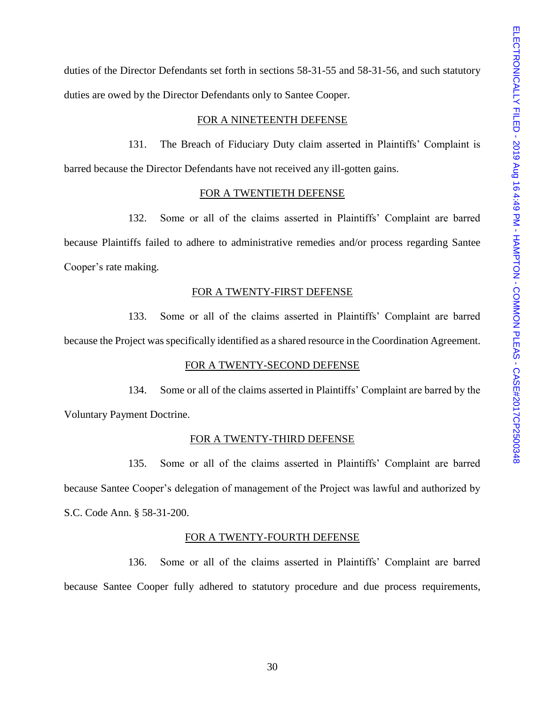duties of the Director Defendants set forth in sections 58-31-55 and 58-31-56, and such statutory duties are owed by the Director Defendants only to Santee Cooper.

### FOR A NINETEENTH DEFENSE

131. The Breach of Fiduciary Duty claim asserted in Plaintiffs' Complaint is barred because the Director Defendants have not received any ill-gotten gains.

## FOR A TWENTIETH DEFENSE

132. Some or all of the claims asserted in Plaintiffs' Complaint are barred because Plaintiffs failed to adhere to administrative remedies and/or process regarding Santee Cooper's rate making.

#### FOR A TWENTY-FIRST DEFENSE

133. Some or all of the claims asserted in Plaintiffs' Complaint are barred because the Project was specifically identified as a shared resource in the Coordination Agreement.

## FOR A TWENTY-SECOND DEFENSE

134. Some or all of the claims asserted in Plaintiffs' Complaint are barred by the Voluntary Payment Doctrine.

#### FOR A TWENTY-THIRD DEFENSE

135. Some or all of the claims asserted in Plaintiffs' Complaint are barred because Santee Cooper's delegation of management of the Project was lawful and authorized by S.C. Code Ann. § 58-31-200.

### FOR A TWENTY-FOURTH DEFENSE

136. Some or all of the claims asserted in Plaintiffs' Complaint are barred because Santee Cooper fully adhered to statutory procedure and due process requirements,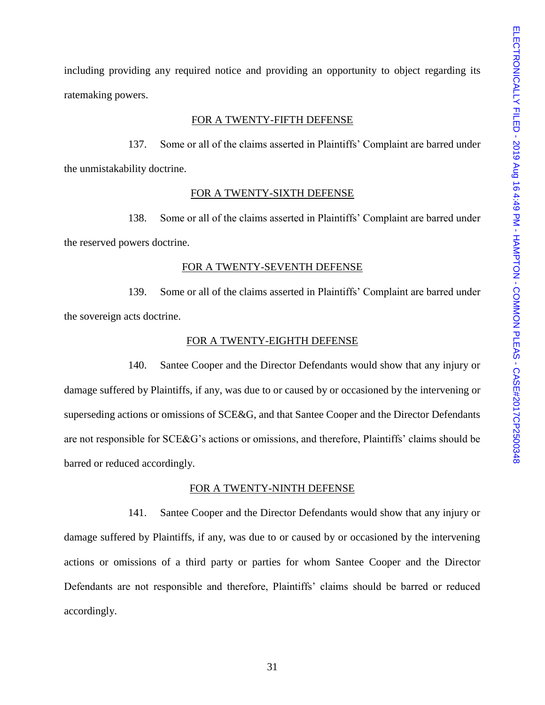including providing any required notice and providing an opportunity to object regarding its ratemaking powers.

#### FOR A TWENTY-FIFTH DEFENSE

137. Some or all of the claims asserted in Plaintiffs' Complaint are barred under the unmistakability doctrine.

### FOR A TWENTY-SIXTH DEFENSE

138. Some or all of the claims asserted in Plaintiffs' Complaint are barred under the reserved powers doctrine.

#### FOR A TWENTY-SEVENTH DEFENSE

139. Some or all of the claims asserted in Plaintiffs' Complaint are barred under the sovereign acts doctrine.

### FOR A TWENTY-EIGHTH DEFENSE

140. Santee Cooper and the Director Defendants would show that any injury or damage suffered by Plaintiffs, if any, was due to or caused by or occasioned by the intervening or superseding actions or omissions of SCE&G, and that Santee Cooper and the Director Defendants are not responsible for SCE&G's actions or omissions, and therefore, Plaintiffs' claims should be barred or reduced accordingly.

### FOR A TWENTY-NINTH DEFENSE

141. Santee Cooper and the Director Defendants would show that any injury or damage suffered by Plaintiffs, if any, was due to or caused by or occasioned by the intervening actions or omissions of a third party or parties for whom Santee Cooper and the Director Defendants are not responsible and therefore, Plaintiffs' claims should be barred or reduced accordingly.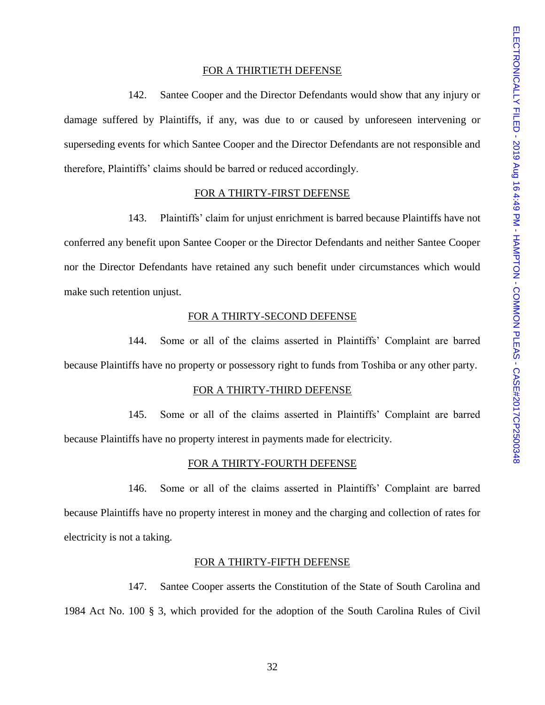#### FOR A THIRTIETH DEFENSE

142. Santee Cooper and the Director Defendants would show that any injury or damage suffered by Plaintiffs, if any, was due to or caused by unforeseen intervening or superseding events for which Santee Cooper and the Director Defendants are not responsible and therefore, Plaintiffs' claims should be barred or reduced accordingly.

### FOR A THIRTY-FIRST DEFENSE

143. Plaintiffs' claim for unjust enrichment is barred because Plaintiffs have not conferred any benefit upon Santee Cooper or the Director Defendants and neither Santee Cooper nor the Director Defendants have retained any such benefit under circumstances which would make such retention unjust.

## FOR A THIRTY-SECOND DEFENSE

144. Some or all of the claims asserted in Plaintiffs' Complaint are barred because Plaintiffs have no property or possessory right to funds from Toshiba or any other party.

#### FOR A THIRTY-THIRD DEFENSE

145. Some or all of the claims asserted in Plaintiffs' Complaint are barred because Plaintiffs have no property interest in payments made for electricity.

### FOR A THIRTY-FOURTH DEFENSE

146. Some or all of the claims asserted in Plaintiffs' Complaint are barred because Plaintiffs have no property interest in money and the charging and collection of rates for electricity is not a taking.

#### FOR A THIRTY-FIFTH DEFENSE

147. Santee Cooper asserts the Constitution of the State of South Carolina and 1984 Act No. 100 § 3, which provided for the adoption of the South Carolina Rules of Civil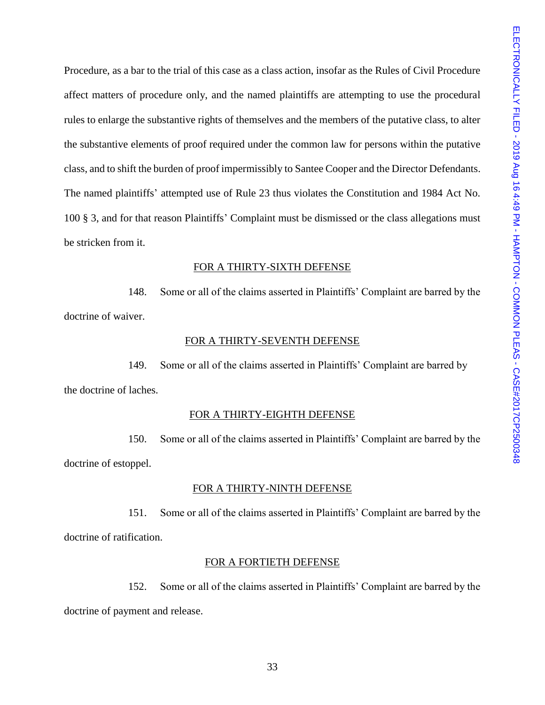Procedure, as a bar to the trial of this case as a class action, insofar as the Rules of Civil Procedure affect matters of procedure only, and the named plaintiffs are attempting to use the procedural rules to enlarge the substantive rights of themselves and the members of the putative class, to alter the substantive elements of proof required under the common law for persons within the putative class, and to shift the burden of proof impermissibly to Santee Cooper and the Director Defendants. The named plaintiffs' attempted use of Rule 23 thus violates the Constitution and 1984 Act No. 100 § 3, and for that reason Plaintiffs' Complaint must be dismissed or the class allegations must be stricken from it.

### FOR A THIRTY-SIXTH DEFENSE

148. Some or all of the claims asserted in Plaintiffs' Complaint are barred by the doctrine of waiver.

### FOR A THIRTY-SEVENTH DEFENSE

149. Some or all of the claims asserted in Plaintiffs' Complaint are barred by the doctrine of laches.

### FOR A THIRTY-EIGHTH DEFENSE

150. Some or all of the claims asserted in Plaintiffs' Complaint are barred by the doctrine of estoppel.

### FOR A THIRTY-NINTH DEFENSE

151. Some or all of the claims asserted in Plaintiffs' Complaint are barred by the doctrine of ratification.

### FOR A FORTIETH DEFENSE

152. Some or all of the claims asserted in Plaintiffs' Complaint are barred by the doctrine of payment and release.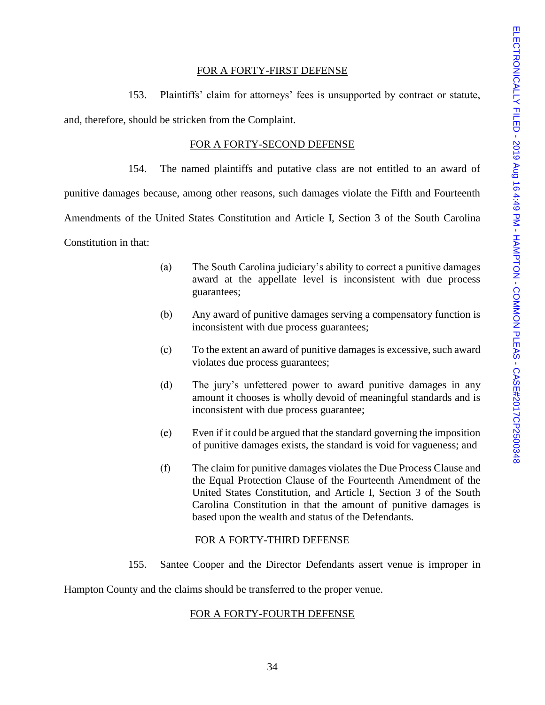## FOR A FORTY-FIRST DEFENSE

153. Plaintiffs' claim for attorneys' fees is unsupported by contract or statute, and, therefore, should be stricken from the Complaint.

## FOR A FORTY-SECOND DEFENSE

154. The named plaintiffs and putative class are not entitled to an award of

punitive damages because, among other reasons, such damages violate the Fifth and Fourteenth

Amendments of the United States Constitution and Article I, Section 3 of the South Carolina

Constitution in that:

- (a) The South Carolina judiciary's ability to correct a punitive damages award at the appellate level is inconsistent with due process guarantees;
- (b) Any award of punitive damages serving a compensatory function is inconsistent with due process guarantees;
- (c) To the extent an award of punitive damages is excessive, such award violates due process guarantees;
- (d) The jury's unfettered power to award punitive damages in any amount it chooses is wholly devoid of meaningful standards and is inconsistent with due process guarantee;
- (e) Even if it could be argued that the standard governing the imposition of punitive damages exists, the standard is void for vagueness; and
- (f) The claim for punitive damages violates the Due Process Clause and the Equal Protection Clause of the Fourteenth Amendment of the United States Constitution, and Article I, Section 3 of the South Carolina Constitution in that the amount of punitive damages is based upon the wealth and status of the Defendants.

# FOR A FORTY-THIRD DEFENSE

155. Santee Cooper and the Director Defendants assert venue is improper in

Hampton County and the claims should be transferred to the proper venue.

# FOR A FORTY-FOURTH DEFENSE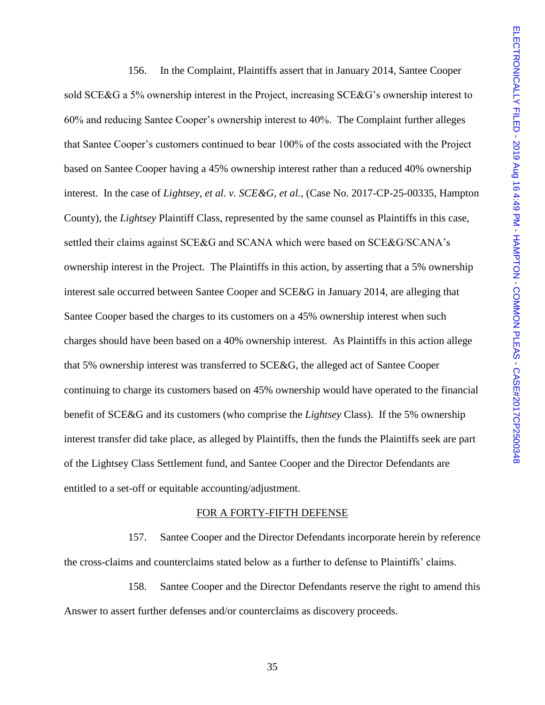156. In the Complaint, Plaintiffs assert that in January 2014, Santee Cooper sold SCE&G a 5% ownership interest in the Project, increasing SCE&G's ownership interest to 60% and reducing Santee Cooper's ownership interest to 40%. The Complaint further alleges that Santee Cooper's customers continued to bear 100% of the costs associated with the Project based on Santee Cooper having a 45% ownership interest rather than a reduced 40% ownership interest. In the case of *Lightsey, et al. v. SCE&G, et al.,* (Case No. 2017-CP-25-00335, Hampton County), the *Lightsey* Plaintiff Class, represented by the same counsel as Plaintiffs in this case, settled their claims against SCE&G and SCANA which were based on SCE&G/SCANA's ownership interest in the Project. The Plaintiffs in this action, by asserting that a 5% ownership interest sale occurred between Santee Cooper and SCE&G in January 2014, are alleging that Santee Cooper based the charges to its customers on a 45% ownership interest when such charges should have been based on a 40% ownership interest. As Plaintiffs in this action allege that 5% ownership interest was transferred to SCE&G, the alleged act of Santee Cooper continuing to charge its customers based on 45% ownership would have operated to the financial benefit of SCE&G and its customers (who comprise the *Lightsey* Class). If the 5% ownership interest transfer did take place, as alleged by Plaintiffs, then the funds the Plaintiffs seek are part of the Lightsey Class Settlement fund, and Santee Cooper and the Director Defendants are entitled to a set-off or equitable accounting/adjustment.

#### FOR A FORTY-FIFTH DEFENSE

157. Santee Cooper and the Director Defendants incorporate herein by reference the cross-claims and counterclaims stated below as a further to defense to Plaintiffs' claims.

158. Santee Cooper and the Director Defendants reserve the right to amend this Answer to assert further defenses and/or counterclaims as discovery proceeds.

35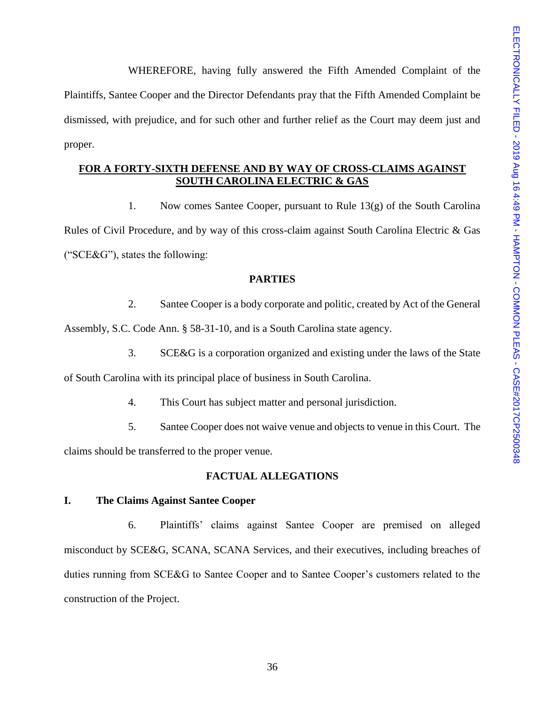WHEREFORE, having fully answered the Fifth Amended Complaint of the Plaintiffs, Santee Cooper and the Director Defendants pray that the Fifth Amended Complaint be dismissed, with prejudice, and for such other and further relief as the Court may deem just and proper.

# **FOR A FORTY-SIXTH DEFENSE AND BY WAY OF CROSS-CLAIMS AGAINST SOUTH CAROLINA ELECTRIC & GAS**

1. Now comes Santee Cooper, pursuant to Rule 13(g) of the South Carolina Rules of Civil Procedure, and by way of this cross-claim against South Carolina Electric & Gas ("SCE&G"), states the following:

# **PARTIES**

2. Santee Cooper is a body corporate and politic, created by Act of the General Assembly, S.C. Code Ann. § 58-31-10, and is a South Carolina state agency.

3. SCE&G is a corporation organized and existing under the laws of the State

of South Carolina with its principal place of business in South Carolina.

- 4. This Court has subject matter and personal jurisdiction.
- 5. Santee Cooper does not waive venue and objects to venue in this Court. The

claims should be transferred to the proper venue.

# **FACTUAL ALLEGATIONS**

# **I. The Claims Against Santee Cooper**

6. Plaintiffs' claims against Santee Cooper are premised on alleged misconduct by SCE&G, SCANA, SCANA Services, and their executives, including breaches of duties running from SCE&G to Santee Cooper and to Santee Cooper's customers related to the construction of the Project.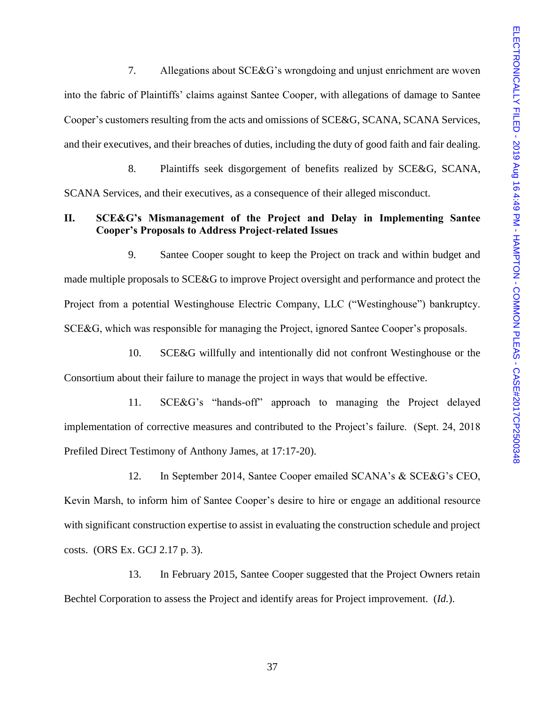7. Allegations about SCE&G's wrongdoing and unjust enrichment are woven into the fabric of Plaintiffs' claims against Santee Cooper, with allegations of damage to Santee Cooper's customers resulting from the acts and omissions of SCE&G, SCANA, SCANA Services, and their executives, and their breaches of duties, including the duty of good faith and fair dealing.

8. Plaintiffs seek disgorgement of benefits realized by SCE&G, SCANA, SCANA Services, and their executives, as a consequence of their alleged misconduct.

## **II. SCE&G's Mismanagement of the Project and Delay in Implementing Santee Cooper's Proposals to Address Project-related Issues**

9. Santee Cooper sought to keep the Project on track and within budget and made multiple proposals to SCE&G to improve Project oversight and performance and protect the Project from a potential Westinghouse Electric Company, LLC ("Westinghouse") bankruptcy. SCE&G, which was responsible for managing the Project, ignored Santee Cooper's proposals.

10. SCE&G willfully and intentionally did not confront Westinghouse or the Consortium about their failure to manage the project in ways that would be effective.

11. SCE&G's "hands-off" approach to managing the Project delayed implementation of corrective measures and contributed to the Project's failure. (Sept. 24, 2018 Prefiled Direct Testimony of Anthony James, at 17:17-20).

12. In September 2014, Santee Cooper emailed SCANA's & SCE&G's CEO, Kevin Marsh, to inform him of Santee Cooper's desire to hire or engage an additional resource with significant construction expertise to assist in evaluating the construction schedule and project costs. (ORS Ex. GCJ 2.17 p. 3).

13. In February 2015, Santee Cooper suggested that the Project Owners retain Bechtel Corporation to assess the Project and identify areas for Project improvement. (*Id.*).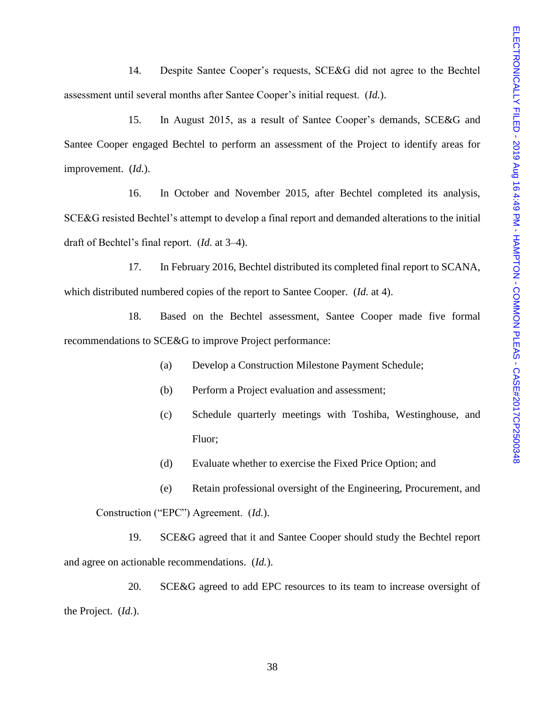14. Despite Santee Cooper's requests, SCE&G did not agree to the Bechtel assessment until several months after Santee Cooper's initial request. (*Id.*).

15. In August 2015, as a result of Santee Cooper's demands, SCE&G and Santee Cooper engaged Bechtel to perform an assessment of the Project to identify areas for improvement. (*Id.*).

16. In October and November 2015, after Bechtel completed its analysis, SCE&G resisted Bechtel's attempt to develop a final report and demanded alterations to the initial draft of Bechtel's final report. (*Id.* at 3–4).

17. In February 2016, Bechtel distributed its completed final report to SCANA, which distributed numbered copies of the report to Santee Cooper. (*Id.* at 4).

18. Based on the Bechtel assessment, Santee Cooper made five formal recommendations to SCE&G to improve Project performance:

- (a) Develop a Construction Milestone Payment Schedule;
- (b) Perform a Project evaluation and assessment;
- (c) Schedule quarterly meetings with Toshiba, Westinghouse, and Fluor;
- (d) Evaluate whether to exercise the Fixed Price Option; and

(e) Retain professional oversight of the Engineering, Procurement, and Construction ("EPC") Agreement. (*Id.*).

19. SCE&G agreed that it and Santee Cooper should study the Bechtel report and agree on actionable recommendations. (*Id.*).

20. SCE&G agreed to add EPC resources to its team to increase oversight of the Project. (*Id.*).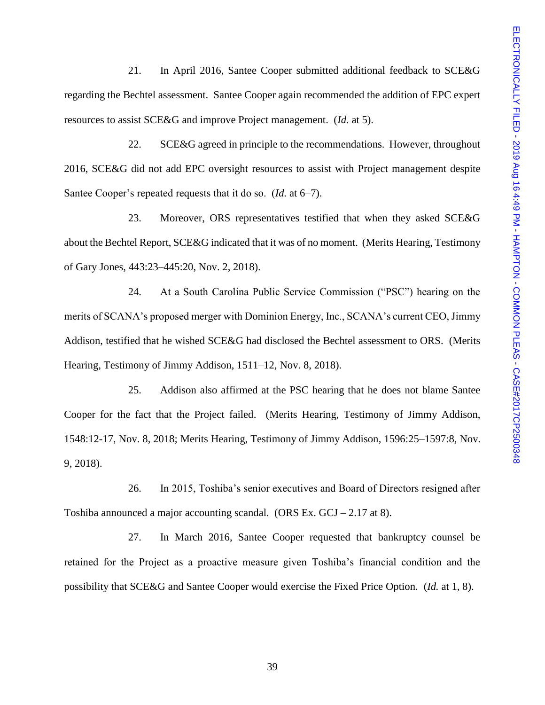21. In April 2016, Santee Cooper submitted additional feedback to SCE&G regarding the Bechtel assessment. Santee Cooper again recommended the addition of EPC expert resources to assist SCE&G and improve Project management. (*Id.* at 5).

22. SCE&G agreed in principle to the recommendations. However, throughout 2016, SCE&G did not add EPC oversight resources to assist with Project management despite Santee Cooper's repeated requests that it do so. (*Id.* at 6–7).

23. Moreover, ORS representatives testified that when they asked SCE&G about the Bechtel Report, SCE&G indicated that it was of no moment. (Merits Hearing, Testimony of Gary Jones, 443:23–445:20, Nov. 2, 2018).

24. At a South Carolina Public Service Commission ("PSC") hearing on the merits of SCANA's proposed merger with Dominion Energy, Inc., SCANA's current CEO, Jimmy Addison, testified that he wished SCE&G had disclosed the Bechtel assessment to ORS. (Merits Hearing, Testimony of Jimmy Addison, 1511–12, Nov. 8, 2018).

25. Addison also affirmed at the PSC hearing that he does not blame Santee Cooper for the fact that the Project failed. (Merits Hearing, Testimony of Jimmy Addison, 1548:12-17, Nov. 8, 2018; Merits Hearing, Testimony of Jimmy Addison, 1596:25–1597:8, Nov. 9, 2018).

26. In 2015, Toshiba's senior executives and Board of Directors resigned after Toshiba announced a major accounting scandal. (ORS Ex.  $GCI - 2.17$  at 8).

27. In March 2016, Santee Cooper requested that bankruptcy counsel be retained for the Project as a proactive measure given Toshiba's financial condition and the possibility that SCE&G and Santee Cooper would exercise the Fixed Price Option. (*Id.* at 1, 8).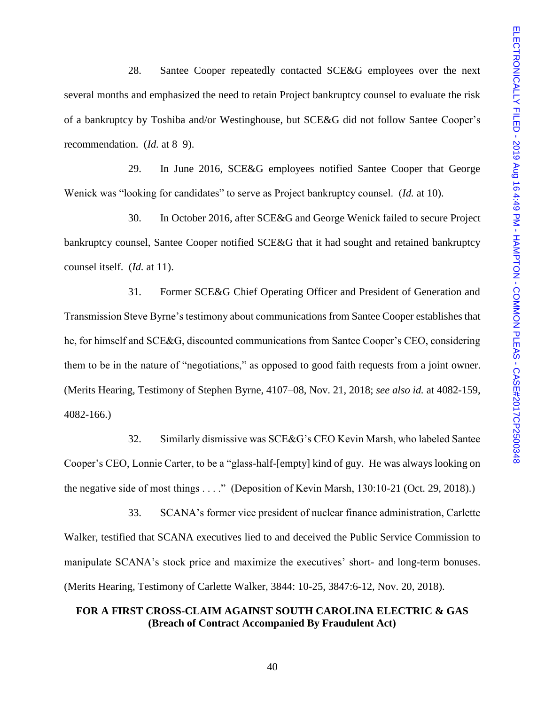28. Santee Cooper repeatedly contacted SCE&G employees over the next several months and emphasized the need to retain Project bankruptcy counsel to evaluate the risk of a bankruptcy by Toshiba and/or Westinghouse, but SCE&G did not follow Santee Cooper's recommendation. (*Id.* at 8–9).

29. In June 2016, SCE&G employees notified Santee Cooper that George Wenick was "looking for candidates" to serve as Project bankruptcy counsel. (*Id.* at 10).

30. In October 2016, after SCE&G and George Wenick failed to secure Project bankruptcy counsel, Santee Cooper notified SCE&G that it had sought and retained bankruptcy counsel itself. (*Id.* at 11).

31. Former SCE&G Chief Operating Officer and President of Generation and Transmission Steve Byrne's testimony about communications from Santee Cooper establishes that he, for himself and SCE&G, discounted communications from Santee Cooper's CEO, considering them to be in the nature of "negotiations," as opposed to good faith requests from a joint owner. (Merits Hearing, Testimony of Stephen Byrne, 4107–08, Nov. 21, 2018; *see also id.* at 4082-159, 4082-166.)

32. Similarly dismissive was SCE&G's CEO Kevin Marsh, who labeled Santee Cooper's CEO, Lonnie Carter, to be a "glass-half-[empty] kind of guy. He was always looking on the negative side of most things . . . ." (Deposition of Kevin Marsh, 130:10-21 (Oct. 29, 2018).)

33. SCANA's former vice president of nuclear finance administration, Carlette Walker, testified that SCANA executives lied to and deceived the Public Service Commission to manipulate SCANA's stock price and maximize the executives' short- and long-term bonuses. (Merits Hearing, Testimony of Carlette Walker, 3844: 10-25, 3847:6-12, Nov. 20, 2018).

# **FOR A FIRST CROSS-CLAIM AGAINST SOUTH CAROLINA ELECTRIC & GAS (Breach of Contract Accompanied By Fraudulent Act)**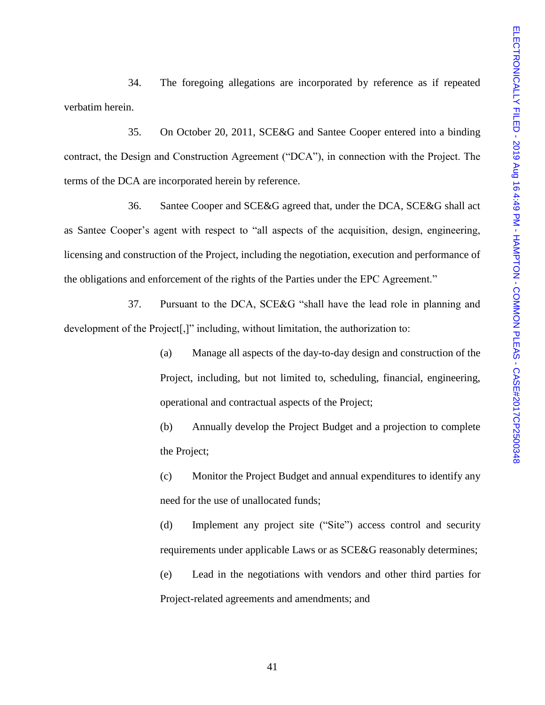34. The foregoing allegations are incorporated by reference as if repeated verbatim herein.

35. On October 20, 2011, SCE&G and Santee Cooper entered into a binding contract, the Design and Construction Agreement ("DCA"), in connection with the Project. The terms of the DCA are incorporated herein by reference.

36. Santee Cooper and SCE&G agreed that, under the DCA, SCE&G shall act as Santee Cooper's agent with respect to "all aspects of the acquisition, design, engineering, licensing and construction of the Project, including the negotiation, execution and performance of the obligations and enforcement of the rights of the Parties under the EPC Agreement."

37. Pursuant to the DCA, SCE&G "shall have the lead role in planning and development of the Project<sup>[1]</sup>, including, without limitation, the authorization to:

> (a) Manage all aspects of the day-to-day design and construction of the Project, including, but not limited to, scheduling, financial, engineering, operational and contractual aspects of the Project;

> (b) Annually develop the Project Budget and a projection to complete the Project;

> (c) Monitor the Project Budget and annual expenditures to identify any need for the use of unallocated funds;

> (d) Implement any project site ("Site") access control and security requirements under applicable Laws or as SCE&G reasonably determines; (e) Lead in the negotiations with vendors and other third parties for Project-related agreements and amendments; and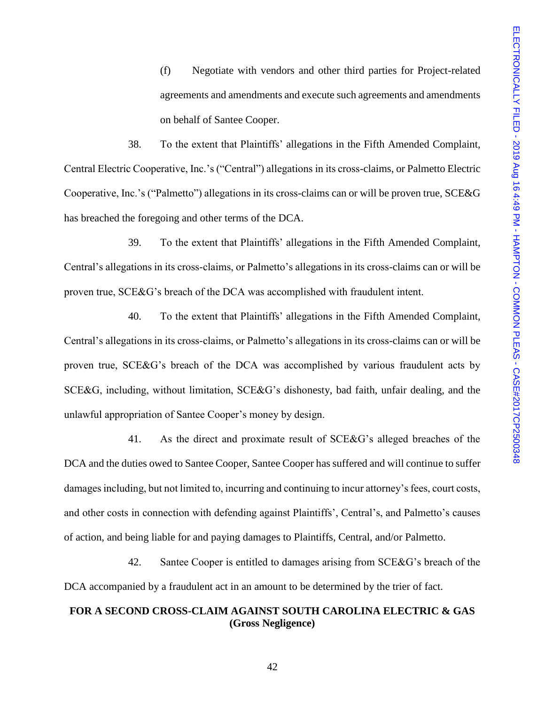(f) Negotiate with vendors and other third parties for Project-related agreements and amendments and execute such agreements and amendments on behalf of Santee Cooper.

38. To the extent that Plaintiffs' allegations in the Fifth Amended Complaint, Central Electric Cooperative, Inc.'s ("Central") allegations in its cross-claims, or Palmetto Electric Cooperative, Inc.'s ("Palmetto") allegations in its cross-claims can or will be proven true, SCE&G has breached the foregoing and other terms of the DCA.

39. To the extent that Plaintiffs' allegations in the Fifth Amended Complaint, Central's allegations in its cross-claims, or Palmetto's allegations in its cross-claims can or will be proven true, SCE&G's breach of the DCA was accomplished with fraudulent intent.

40. To the extent that Plaintiffs' allegations in the Fifth Amended Complaint, Central's allegations in its cross-claims, or Palmetto's allegations in its cross-claims can or will be proven true, SCE&G's breach of the DCA was accomplished by various fraudulent acts by SCE&G, including, without limitation, SCE&G's dishonesty, bad faith, unfair dealing, and the unlawful appropriation of Santee Cooper's money by design.

41. As the direct and proximate result of SCE&G's alleged breaches of the DCA and the duties owed to Santee Cooper, Santee Cooper has suffered and will continue to suffer damages including, but not limited to, incurring and continuing to incur attorney's fees, court costs, and other costs in connection with defending against Plaintiffs', Central's, and Palmetto's causes of action, and being liable for and paying damages to Plaintiffs, Central, and/or Palmetto.

42. Santee Cooper is entitled to damages arising from SCE&G's breach of the DCA accompanied by a fraudulent act in an amount to be determined by the trier of fact.

# **FOR A SECOND CROSS-CLAIM AGAINST SOUTH CAROLINA ELECTRIC & GAS (Gross Negligence)**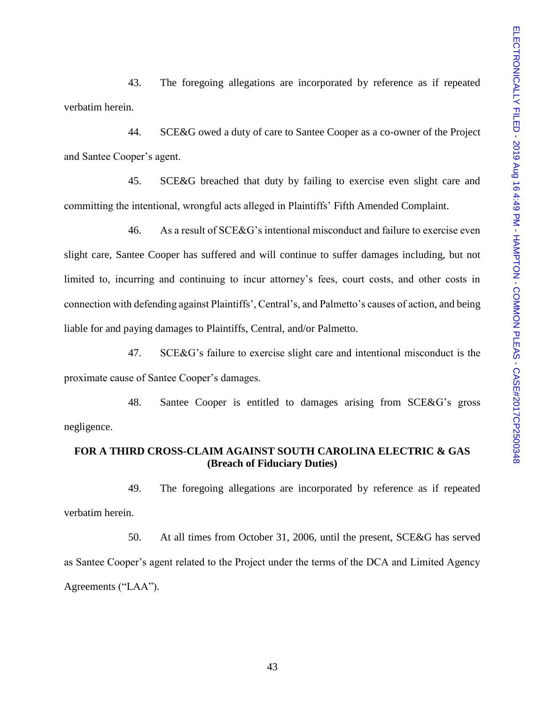43. The foregoing allegations are incorporated by reference as if repeated verbatim herein.

44. SCE&G owed a duty of care to Santee Cooper as a co-owner of the Project and Santee Cooper's agent.

45. SCE&G breached that duty by failing to exercise even slight care and committing the intentional, wrongful acts alleged in Plaintiffs' Fifth Amended Complaint.

46. As a result of SCE&G's intentional misconduct and failure to exercise even slight care, Santee Cooper has suffered and will continue to suffer damages including, but not limited to, incurring and continuing to incur attorney's fees, court costs, and other costs in connection with defending against Plaintiffs', Central's, and Palmetto's causes of action, and being liable for and paying damages to Plaintiffs, Central, and/or Palmetto.

47. SCE&G's failure to exercise slight care and intentional misconduct is the proximate cause of Santee Cooper's damages.

48. Santee Cooper is entitled to damages arising from SCE&G's gross negligence.

# **FOR A THIRD CROSS-CLAIM AGAINST SOUTH CAROLINA ELECTRIC & GAS (Breach of Fiduciary Duties)**

49. The foregoing allegations are incorporated by reference as if repeated verbatim herein.

50. At all times from October 31, 2006, until the present, SCE&G has served as Santee Cooper's agent related to the Project under the terms of the DCA and Limited Agency Agreements ("LAA").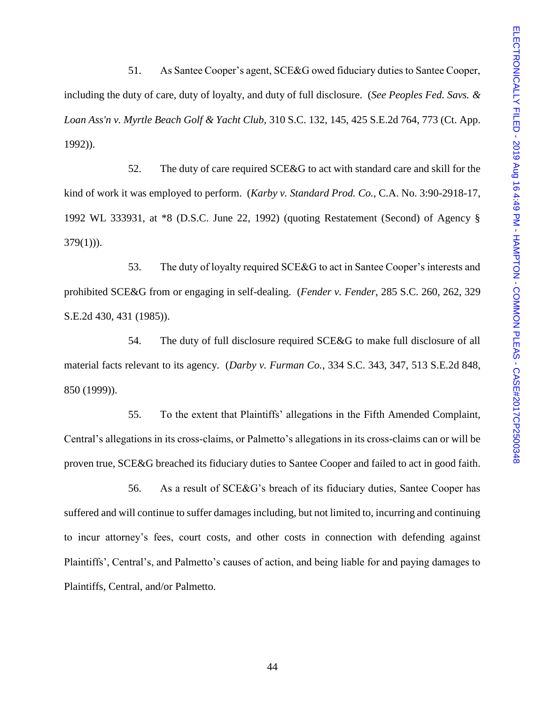51. As Santee Cooper's agent, SCE&G owed fiduciary duties to Santee Cooper, including the duty of care, duty of loyalty, and duty of full disclosure. (*See Peoples Fed. Savs. & Loan Ass'n v. Myrtle Beach Golf & Yacht Club,* 310 S.C. 132, 145, 425 S.E.2d 764, 773 (Ct. App. 1992)).

52. The duty of care required SCE&G to act with standard care and skill for the kind of work it was employed to perform. (*Karby v. Standard Prod. Co.*, C.A. No. 3:90-2918-17, 1992 WL 333931, at \*8 (D.S.C. June 22, 1992) (quoting Restatement (Second) of Agency §  $379(1)$ ).

53. The duty of loyalty required SCE&G to act in Santee Cooper's interests and prohibited SCE&G from or engaging in self-dealing. (*Fender v. Fender*, 285 S.C. 260, 262, 329 S.E.2d 430, 431 (1985)).

54. The duty of full disclosure required SCE&G to make full disclosure of all material facts relevant to its agency. (*Darby v. Furman Co.*, 334 S.C. 343, 347, 513 S.E.2d 848, 850 (1999)).

55. To the extent that Plaintiffs' allegations in the Fifth Amended Complaint, Central's allegations in its cross-claims, or Palmetto's allegations in its cross-claims can or will be proven true, SCE&G breached its fiduciary duties to Santee Cooper and failed to act in good faith.

56. As a result of SCE&G's breach of its fiduciary duties, Santee Cooper has suffered and will continue to suffer damages including, but not limited to, incurring and continuing to incur attorney's fees, court costs, and other costs in connection with defending against Plaintiffs', Central's, and Palmetto's causes of action, and being liable for and paying damages to Plaintiffs, Central, and/or Palmetto.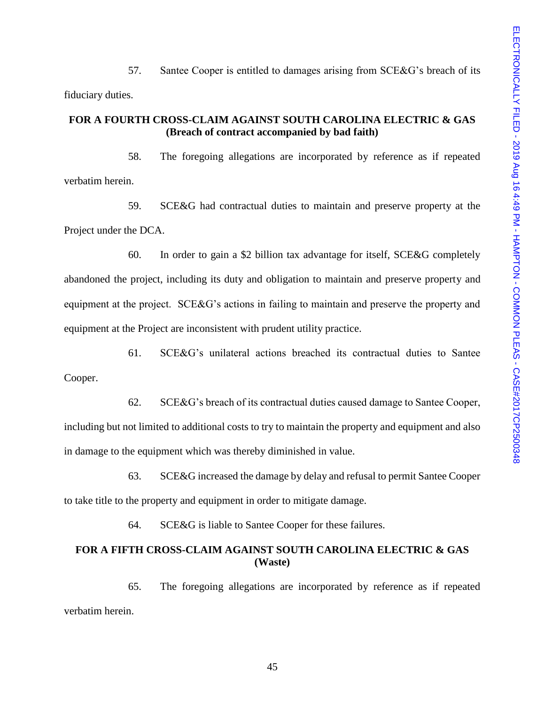57. Santee Cooper is entitled to damages arising from SCE&G's breach of its fiduciary duties.

# **FOR A FOURTH CROSS-CLAIM AGAINST SOUTH CAROLINA ELECTRIC & GAS (Breach of contract accompanied by bad faith)**

58. The foregoing allegations are incorporated by reference as if repeated verbatim herein.

59. SCE&G had contractual duties to maintain and preserve property at the Project under the DCA.

60. In order to gain a \$2 billion tax advantage for itself, SCE&G completely abandoned the project, including its duty and obligation to maintain and preserve property and equipment at the project. SCE&G's actions in failing to maintain and preserve the property and equipment at the Project are inconsistent with prudent utility practice.

61. SCE&G's unilateral actions breached its contractual duties to Santee Cooper.

62. SCE&G's breach of its contractual duties caused damage to Santee Cooper,

including but not limited to additional costs to try to maintain the property and equipment and also in damage to the equipment which was thereby diminished in value.

63. SCE&G increased the damage by delay and refusal to permit Santee Cooper

to take title to the property and equipment in order to mitigate damage.

64. SCE&G is liable to Santee Cooper for these failures.

# **FOR A FIFTH CROSS-CLAIM AGAINST SOUTH CAROLINA ELECTRIC & GAS (Waste)**

65. The foregoing allegations are incorporated by reference as if repeated verbatim herein.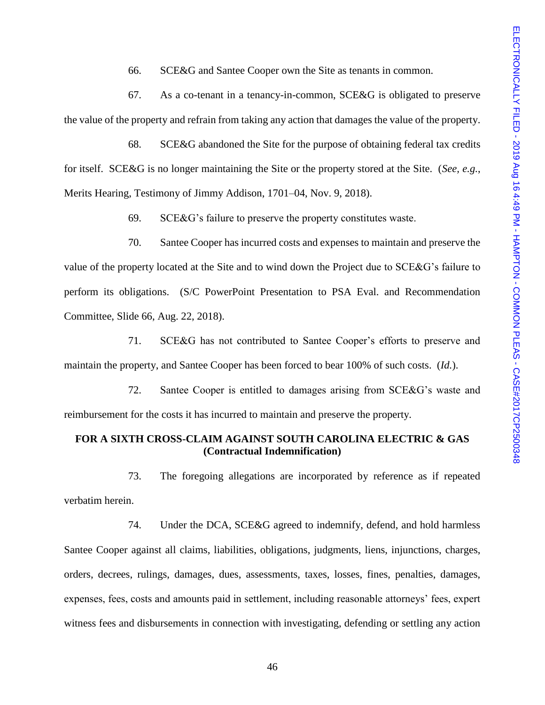66. SCE&G and Santee Cooper own the Site as tenants in common.

67. As a co-tenant in a tenancy-in-common, SCE&G is obligated to preserve the value of the property and refrain from taking any action that damages the value of the property.

68. SCE&G abandoned the Site for the purpose of obtaining federal tax credits for itself. SCE&G is no longer maintaining the Site or the property stored at the Site. (*See, e.g.*, Merits Hearing, Testimony of Jimmy Addison, 1701–04, Nov. 9, 2018).

69. SCE&G's failure to preserve the property constitutes waste.

70. Santee Cooper has incurred costs and expenses to maintain and preserve the value of the property located at the Site and to wind down the Project due to SCE&G's failure to perform its obligations. (S/C PowerPoint Presentation to PSA Eval. and Recommendation Committee, Slide 66, Aug. 22, 2018).

71. SCE&G has not contributed to Santee Cooper's efforts to preserve and maintain the property, and Santee Cooper has been forced to bear 100% of such costs. (*Id.*).

72. Santee Cooper is entitled to damages arising from SCE&G's waste and reimbursement for the costs it has incurred to maintain and preserve the property.

# **FOR A SIXTH CROSS-CLAIM AGAINST SOUTH CAROLINA ELECTRIC & GAS (Contractual Indemnification)**

73. The foregoing allegations are incorporated by reference as if repeated verbatim herein.

74. Under the DCA, SCE&G agreed to indemnify, defend, and hold harmless Santee Cooper against all claims, liabilities, obligations, judgments, liens, injunctions, charges, orders, decrees, rulings, damages, dues, assessments, taxes, losses, fines, penalties, damages, expenses, fees, costs and amounts paid in settlement, including reasonable attorneys' fees, expert witness fees and disbursements in connection with investigating, defending or settling any action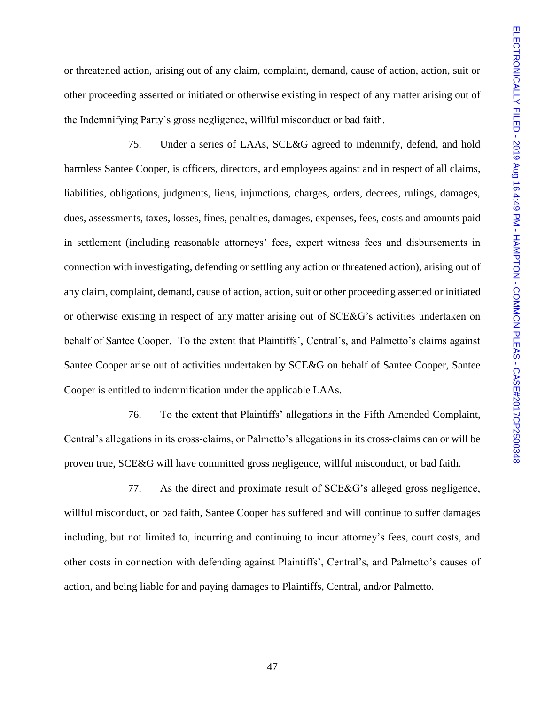or threatened action, arising out of any claim, complaint, demand, cause of action, action, suit or other proceeding asserted or initiated or otherwise existing in respect of any matter arising out of the Indemnifying Party's gross negligence, willful misconduct or bad faith.

75. Under a series of LAAs, SCE&G agreed to indemnify, defend, and hold harmless Santee Cooper, is officers, directors, and employees against and in respect of all claims, liabilities, obligations, judgments, liens, injunctions, charges, orders, decrees, rulings, damages, dues, assessments, taxes, losses, fines, penalties, damages, expenses, fees, costs and amounts paid in settlement (including reasonable attorneys' fees, expert witness fees and disbursements in connection with investigating, defending or settling any action or threatened action), arising out of any claim, complaint, demand, cause of action, action, suit or other proceeding asserted or initiated or otherwise existing in respect of any matter arising out of SCE&G's activities undertaken on behalf of Santee Cooper. To the extent that Plaintiffs', Central's, and Palmetto's claims against Santee Cooper arise out of activities undertaken by SCE&G on behalf of Santee Cooper, Santee Cooper is entitled to indemnification under the applicable LAAs.

76. To the extent that Plaintiffs' allegations in the Fifth Amended Complaint, Central's allegations in its cross-claims, or Palmetto's allegations in its cross-claims can or will be proven true, SCE&G will have committed gross negligence, willful misconduct, or bad faith.

77. As the direct and proximate result of SCE&G's alleged gross negligence, willful misconduct, or bad faith, Santee Cooper has suffered and will continue to suffer damages including, but not limited to, incurring and continuing to incur attorney's fees, court costs, and other costs in connection with defending against Plaintiffs', Central's, and Palmetto's causes of action, and being liable for and paying damages to Plaintiffs, Central, and/or Palmetto.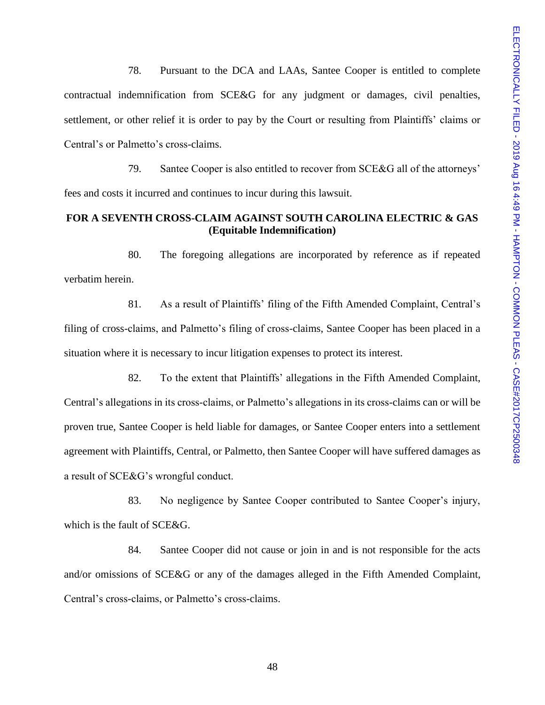78. Pursuant to the DCA and LAAs, Santee Cooper is entitled to complete contractual indemnification from SCE&G for any judgment or damages, civil penalties, settlement, or other relief it is order to pay by the Court or resulting from Plaintiffs' claims or Central's or Palmetto's cross-claims.

79. Santee Cooper is also entitled to recover from SCE&G all of the attorneys' fees and costs it incurred and continues to incur during this lawsuit.

# **FOR A SEVENTH CROSS-CLAIM AGAINST SOUTH CAROLINA ELECTRIC & GAS (Equitable Indemnification)**

80. The foregoing allegations are incorporated by reference as if repeated verbatim herein.

81. As a result of Plaintiffs' filing of the Fifth Amended Complaint, Central's filing of cross-claims, and Palmetto's filing of cross-claims, Santee Cooper has been placed in a situation where it is necessary to incur litigation expenses to protect its interest.

82. To the extent that Plaintiffs' allegations in the Fifth Amended Complaint, Central's allegations in its cross-claims, or Palmetto's allegations in its cross-claims can or will be proven true, Santee Cooper is held liable for damages, or Santee Cooper enters into a settlement agreement with Plaintiffs, Central, or Palmetto, then Santee Cooper will have suffered damages as a result of SCE&G's wrongful conduct.

83. No negligence by Santee Cooper contributed to Santee Cooper's injury, which is the fault of SCE&G.

84. Santee Cooper did not cause or join in and is not responsible for the acts and/or omissions of SCE&G or any of the damages alleged in the Fifth Amended Complaint, Central's cross-claims, or Palmetto's cross-claims.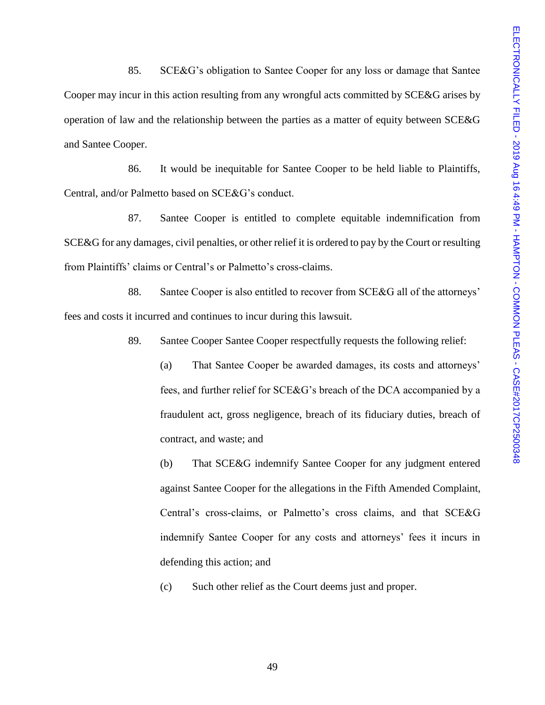85. SCE&G's obligation to Santee Cooper for any loss or damage that Santee Cooper may incur in this action resulting from any wrongful acts committed by SCE&G arises by operation of law and the relationship between the parties as a matter of equity between SCE&G and Santee Cooper.

86. It would be inequitable for Santee Cooper to be held liable to Plaintiffs, Central, and/or Palmetto based on SCE&G's conduct.

87. Santee Cooper is entitled to complete equitable indemnification from SCE&G for any damages, civil penalties, or other relief it is ordered to pay by the Court or resulting from Plaintiffs' claims or Central's or Palmetto's cross-claims.

88. Santee Cooper is also entitled to recover from SCE&G all of the attorneys' fees and costs it incurred and continues to incur during this lawsuit.

89. Santee Cooper Santee Cooper respectfully requests the following relief:

(a) That Santee Cooper be awarded damages, its costs and attorneys' fees, and further relief for SCE&G's breach of the DCA accompanied by a fraudulent act, gross negligence, breach of its fiduciary duties, breach of contract, and waste; and

(b) That SCE&G indemnify Santee Cooper for any judgment entered against Santee Cooper for the allegations in the Fifth Amended Complaint, Central's cross-claims, or Palmetto's cross claims, and that SCE&G indemnify Santee Cooper for any costs and attorneys' fees it incurs in defending this action; and

(c) Such other relief as the Court deems just and proper.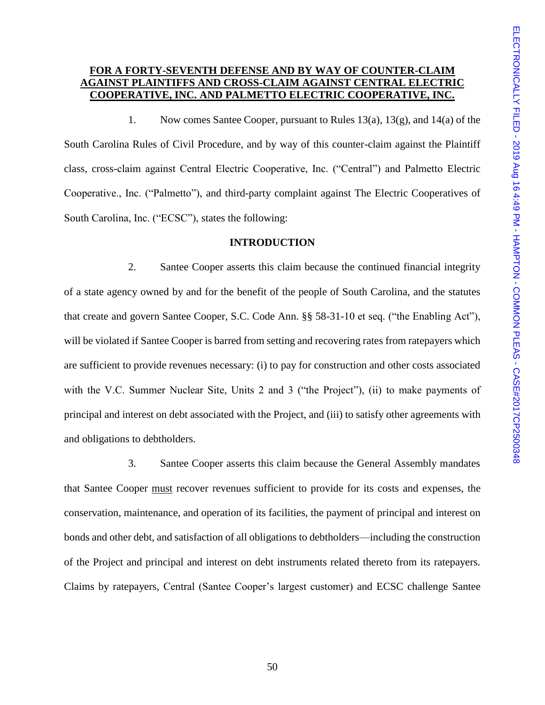# **FOR A FORTY-SEVENTH DEFENSE AND BY WAY OF COUNTER-CLAIM AGAINST PLAINTIFFS AND CROSS-CLAIM AGAINST CENTRAL ELECTRIC COOPERATIVE, INC. AND PALMETTO ELECTRIC COOPERATIVE, INC.**

1. Now comes Santee Cooper, pursuant to Rules 13(a), 13(g), and 14(a) of the South Carolina Rules of Civil Procedure, and by way of this counter-claim against the Plaintiff class, cross-claim against Central Electric Cooperative, Inc. ("Central") and Palmetto Electric Cooperative., Inc. ("Palmetto"), and third-party complaint against The Electric Cooperatives of South Carolina, Inc. ("ECSC"), states the following:

### **INTRODUCTION**

2. Santee Cooper asserts this claim because the continued financial integrity of a state agency owned by and for the benefit of the people of South Carolina, and the statutes that create and govern Santee Cooper, S.C. Code Ann. §§ 58-31-10 et seq. ("the Enabling Act"), will be violated if Santee Cooper is barred from setting and recovering rates from ratepayers which are sufficient to provide revenues necessary: (i) to pay for construction and other costs associated with the V.C. Summer Nuclear Site, Units 2 and 3 ("the Project"), (ii) to make payments of principal and interest on debt associated with the Project, and (iii) to satisfy other agreements with and obligations to debtholders.

3. Santee Cooper asserts this claim because the General Assembly mandates that Santee Cooper must recover revenues sufficient to provide for its costs and expenses, the conservation, maintenance, and operation of its facilities, the payment of principal and interest on bonds and other debt, and satisfaction of all obligations to debtholders—including the construction of the Project and principal and interest on debt instruments related thereto from its ratepayers. Claims by ratepayers, Central (Santee Cooper's largest customer) and ECSC challenge Santee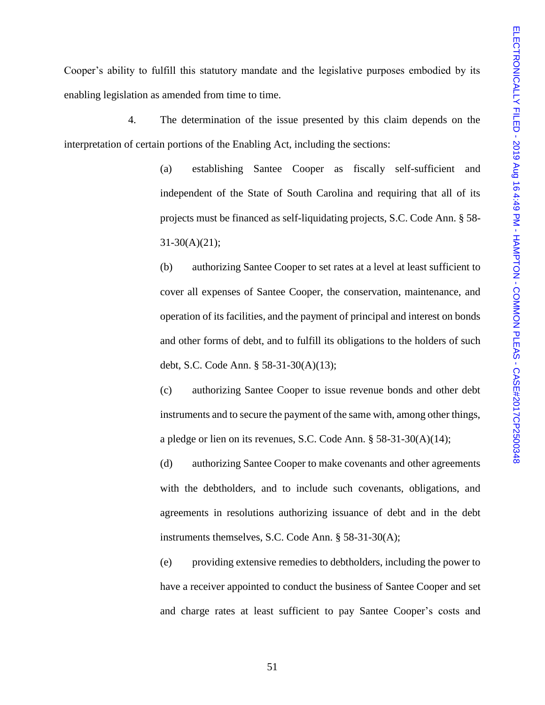Cooper's ability to fulfill this statutory mandate and the legislative purposes embodied by its enabling legislation as amended from time to time.

4. The determination of the issue presented by this claim depends on the interpretation of certain portions of the Enabling Act, including the sections:

> (a) establishing Santee Cooper as fiscally self-sufficient and independent of the State of South Carolina and requiring that all of its projects must be financed as self-liquidating projects, S.C. Code Ann. § 58-  $31-30(A)(21);$

> (b) authorizing Santee Cooper to set rates at a level at least sufficient to cover all expenses of Santee Cooper, the conservation, maintenance, and operation of its facilities, and the payment of principal and interest on bonds and other forms of debt, and to fulfill its obligations to the holders of such debt, S.C. Code Ann. § 58-31-30(A)(13);

> (c) authorizing Santee Cooper to issue revenue bonds and other debt instruments and to secure the payment of the same with, among other things, a pledge or lien on its revenues, S.C. Code Ann. § 58-31-30(A)(14);

> (d) authorizing Santee Cooper to make covenants and other agreements with the debtholders, and to include such covenants, obligations, and agreements in resolutions authorizing issuance of debt and in the debt instruments themselves, S.C. Code Ann. § 58-31-30(A);

> (e) providing extensive remedies to debtholders, including the power to have a receiver appointed to conduct the business of Santee Cooper and set and charge rates at least sufficient to pay Santee Cooper's costs and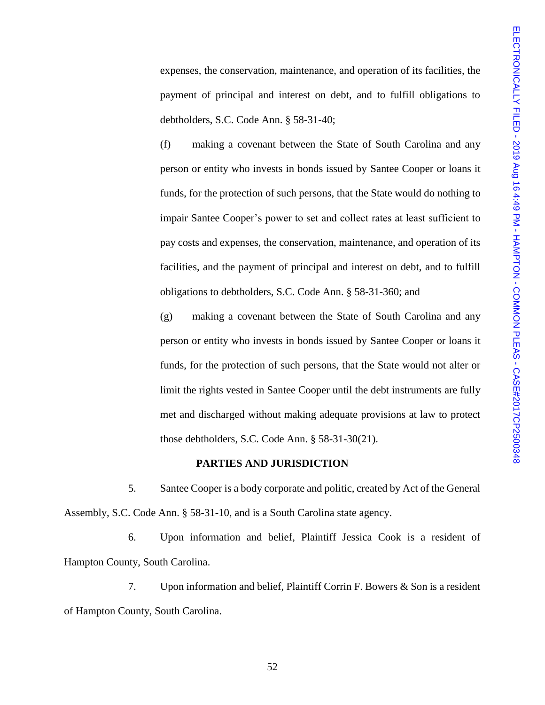expenses, the conservation, maintenance, and operation of its facilities, the payment of principal and interest on debt, and to fulfill obligations to debtholders, S.C. Code Ann. § 58-31-40;

(f) making a covenant between the State of South Carolina and any person or entity who invests in bonds issued by Santee Cooper or loans it funds, for the protection of such persons, that the State would do nothing to impair Santee Cooper's power to set and collect rates at least sufficient to pay costs and expenses, the conservation, maintenance, and operation of its facilities, and the payment of principal and interest on debt, and to fulfill obligations to debtholders, S.C. Code Ann. § 58-31-360; and

(g) making a covenant between the State of South Carolina and any person or entity who invests in bonds issued by Santee Cooper or loans it funds, for the protection of such persons, that the State would not alter or limit the rights vested in Santee Cooper until the debt instruments are fully met and discharged without making adequate provisions at law to protect those debtholders, S.C. Code Ann. § 58-31-30(21).

### **PARTIES AND JURISDICTION**

5. Santee Cooper is a body corporate and politic, created by Act of the General Assembly, S.C. Code Ann. § 58-31-10, and is a South Carolina state agency.

6. Upon information and belief, Plaintiff Jessica Cook is a resident of Hampton County, South Carolina.

7. Upon information and belief, Plaintiff Corrin F. Bowers & Son is a resident of Hampton County, South Carolina.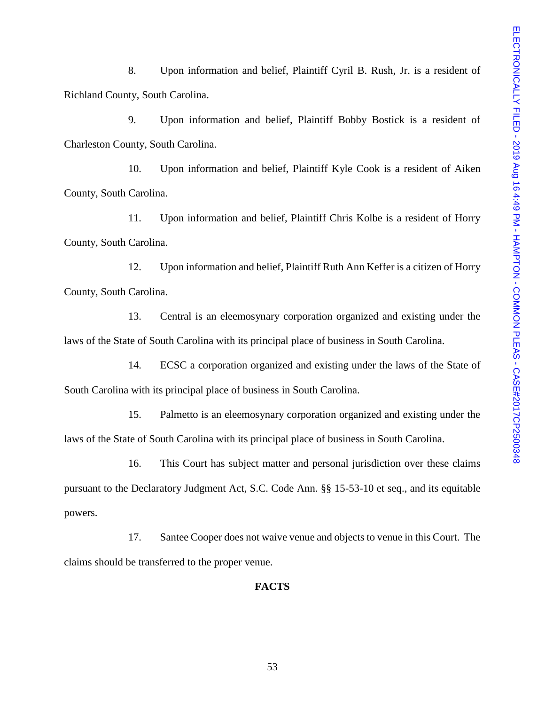8. Upon information and belief, Plaintiff Cyril B. Rush, Jr. is a resident of Richland County, South Carolina.

9. Upon information and belief, Plaintiff Bobby Bostick is a resident of Charleston County, South Carolina.

10. Upon information and belief, Plaintiff Kyle Cook is a resident of Aiken County, South Carolina.

11. Upon information and belief, Plaintiff Chris Kolbe is a resident of Horry County, South Carolina.

12. Upon information and belief, Plaintiff Ruth Ann Keffer is a citizen of Horry County, South Carolina.

13. Central is an eleemosynary corporation organized and existing under the laws of the State of South Carolina with its principal place of business in South Carolina.

14. ECSC a corporation organized and existing under the laws of the State of South Carolina with its principal place of business in South Carolina.

15. Palmetto is an eleemosynary corporation organized and existing under the laws of the State of South Carolina with its principal place of business in South Carolina.

16. This Court has subject matter and personal jurisdiction over these claims pursuant to the Declaratory Judgment Act, S.C. Code Ann. §§ 15-53-10 et seq., and its equitable powers.

17. Santee Cooper does not waive venue and objects to venue in this Court. The claims should be transferred to the proper venue.

## **FACTS**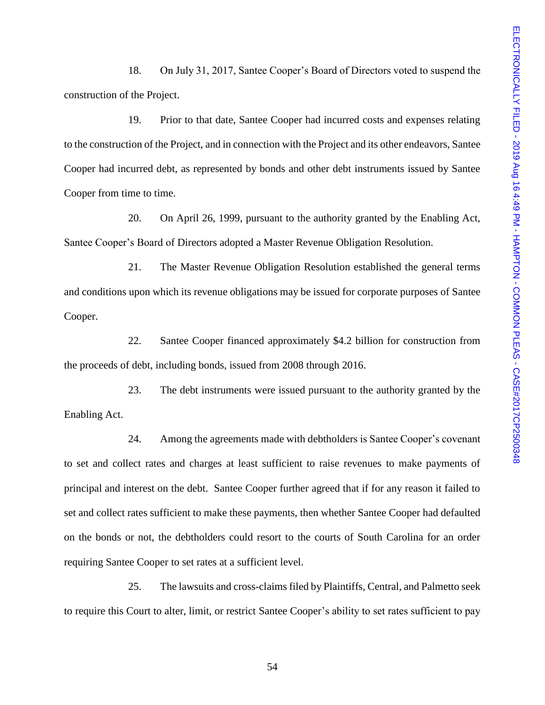18. On July 31, 2017, Santee Cooper's Board of Directors voted to suspend the construction of the Project.

19. Prior to that date, Santee Cooper had incurred costs and expenses relating to the construction of the Project, and in connection with the Project and its other endeavors, Santee Cooper had incurred debt, as represented by bonds and other debt instruments issued by Santee Cooper from time to time.

20. On April 26, 1999, pursuant to the authority granted by the Enabling Act, Santee Cooper's Board of Directors adopted a Master Revenue Obligation Resolution.

21. The Master Revenue Obligation Resolution established the general terms and conditions upon which its revenue obligations may be issued for corporate purposes of Santee Cooper.

22. Santee Cooper financed approximately \$4.2 billion for construction from the proceeds of debt, including bonds, issued from 2008 through 2016.

23. The debt instruments were issued pursuant to the authority granted by the Enabling Act.

24. Among the agreements made with debtholders is Santee Cooper's covenant to set and collect rates and charges at least sufficient to raise revenues to make payments of principal and interest on the debt. Santee Cooper further agreed that if for any reason it failed to set and collect rates sufficient to make these payments, then whether Santee Cooper had defaulted on the bonds or not, the debtholders could resort to the courts of South Carolina for an order requiring Santee Cooper to set rates at a sufficient level.

25. The lawsuits and cross-claims filed by Plaintiffs, Central, and Palmetto seek to require this Court to alter, limit, or restrict Santee Cooper's ability to set rates sufficient to pay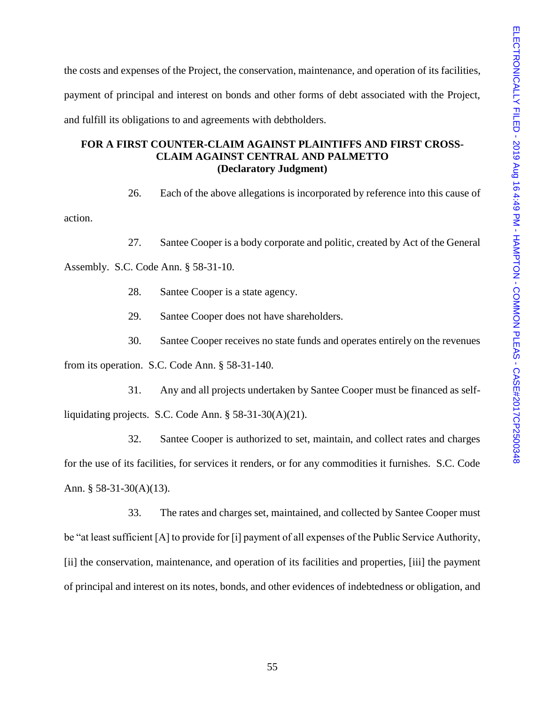the costs and expenses of the Project, the conservation, maintenance, and operation of its facilities, payment of principal and interest on bonds and other forms of debt associated with the Project, and fulfill its obligations to and agreements with debtholders.

# **FOR A FIRST COUNTER-CLAIM AGAINST PLAINTIFFS AND FIRST CROSS-CLAIM AGAINST CENTRAL AND PALMETTO (Declaratory Judgment)**

26. Each of the above allegations is incorporated by reference into this cause of

action.

27. Santee Cooper is a body corporate and politic, created by Act of the General

Assembly. S.C. Code Ann. § 58-31-10.

- 28. Santee Cooper is a state agency.
- 29. Santee Cooper does not have shareholders.
- 30. Santee Cooper receives no state funds and operates entirely on the revenues

from its operation. S.C. Code Ann. § 58-31-140.

31. Any and all projects undertaken by Santee Cooper must be financed as selfliquidating projects. S.C. Code Ann. § 58-31-30(A)(21).

32. Santee Cooper is authorized to set, maintain, and collect rates and charges for the use of its facilities, for services it renders, or for any commodities it furnishes. S.C. Code Ann. § 58-31-30(A)(13).

33. The rates and charges set, maintained, and collected by Santee Cooper must be "at least sufficient [A] to provide for [i] payment of all expenses of the Public Service Authority, [ii] the conservation, maintenance, and operation of its facilities and properties, [iii] the payment of principal and interest on its notes, bonds, and other evidences of indebtedness or obligation, and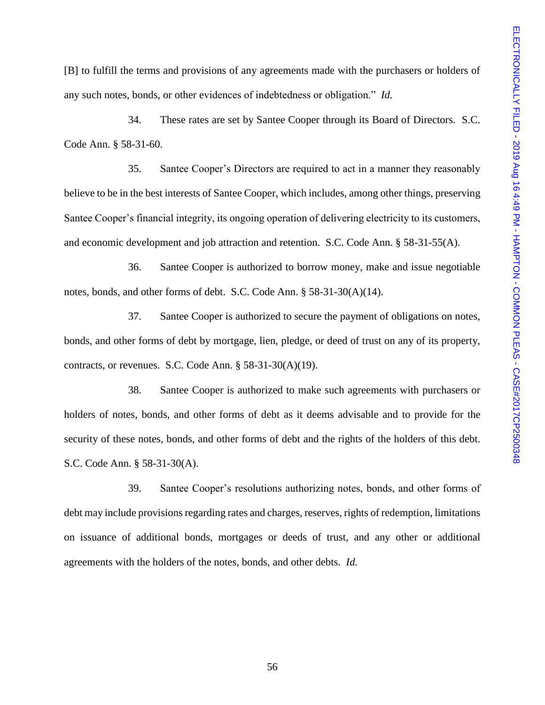[B] to fulfill the terms and provisions of any agreements made with the purchasers or holders of any such notes, bonds, or other evidences of indebtedness or obligation." *Id.*

34. These rates are set by Santee Cooper through its Board of Directors. S.C. Code Ann. § 58-31-60.

35. Santee Cooper's Directors are required to act in a manner they reasonably believe to be in the best interests of Santee Cooper, which includes, among other things, preserving Santee Cooper's financial integrity, its ongoing operation of delivering electricity to its customers, and economic development and job attraction and retention. S.C. Code Ann. § 58-31-55(A).

36. Santee Cooper is authorized to borrow money, make and issue negotiable notes, bonds, and other forms of debt. S.C. Code Ann. § 58-31-30(A)(14).

37. Santee Cooper is authorized to secure the payment of obligations on notes, bonds, and other forms of debt by mortgage, lien, pledge, or deed of trust on any of its property, contracts, or revenues. S.C. Code Ann. § 58-31-30(A)(19).

38. Santee Cooper is authorized to make such agreements with purchasers or holders of notes, bonds, and other forms of debt as it deems advisable and to provide for the security of these notes, bonds, and other forms of debt and the rights of the holders of this debt. S.C. Code Ann. § 58-31-30(A).

39. Santee Cooper's resolutions authorizing notes, bonds, and other forms of debt may include provisions regarding rates and charges, reserves, rights of redemption, limitations on issuance of additional bonds, mortgages or deeds of trust, and any other or additional agreements with the holders of the notes, bonds, and other debts. *Id.*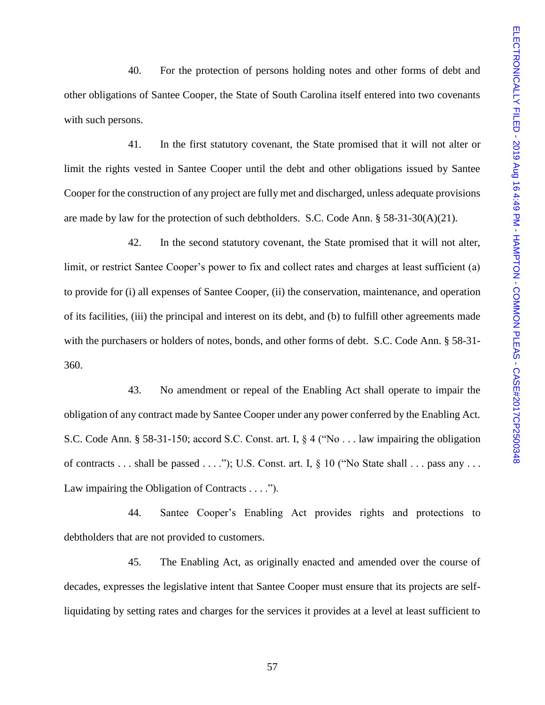40. For the protection of persons holding notes and other forms of debt and other obligations of Santee Cooper, the State of South Carolina itself entered into two covenants with such persons.

41. In the first statutory covenant, the State promised that it will not alter or limit the rights vested in Santee Cooper until the debt and other obligations issued by Santee Cooper for the construction of any project are fully met and discharged, unless adequate provisions are made by law for the protection of such debtholders. S.C. Code Ann.  $\S$  58-31-30(A)(21).

42. In the second statutory covenant, the State promised that it will not alter, limit, or restrict Santee Cooper's power to fix and collect rates and charges at least sufficient (a) to provide for (i) all expenses of Santee Cooper, (ii) the conservation, maintenance, and operation of its facilities, (iii) the principal and interest on its debt, and (b) to fulfill other agreements made with the purchasers or holders of notes, bonds, and other forms of debt. S.C. Code Ann. § 58-31- 360.

43. No amendment or repeal of the Enabling Act shall operate to impair the obligation of any contract made by Santee Cooper under any power conferred by the Enabling Act. S.C. Code Ann. § 58-31-150; accord S.C. Const. art. I, § 4 ("No . . . law impairing the obligation of contracts  $\dots$  shall be passed  $\dots$ ."); U.S. Const. art. I, § 10 ("No State shall  $\dots$  pass any  $\dots$ Law impairing the Obligation of Contracts . . . .").

44. Santee Cooper's Enabling Act provides rights and protections to debtholders that are not provided to customers.

45. The Enabling Act, as originally enacted and amended over the course of decades, expresses the legislative intent that Santee Cooper must ensure that its projects are selfliquidating by setting rates and charges for the services it provides at a level at least sufficient to

57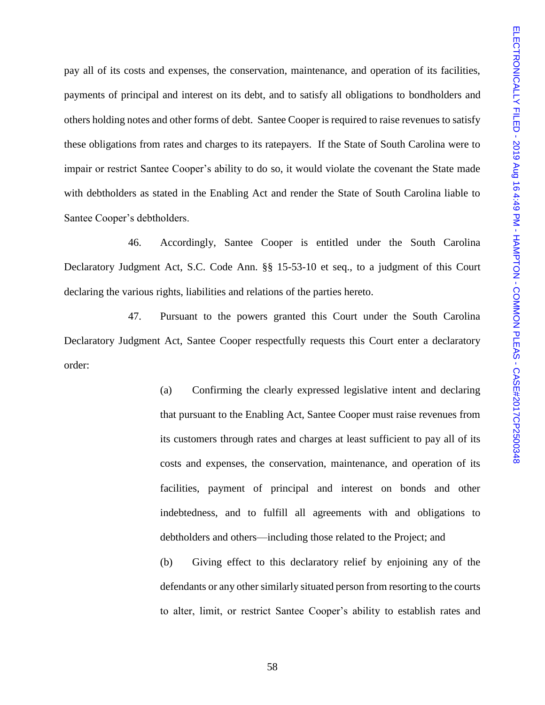pay all of its costs and expenses, the conservation, maintenance, and operation of its facilities, payments of principal and interest on its debt, and to satisfy all obligations to bondholders and others holding notes and other forms of debt. Santee Cooper is required to raise revenues to satisfy these obligations from rates and charges to its ratepayers. If the State of South Carolina were to impair or restrict Santee Cooper's ability to do so, it would violate the covenant the State made with debtholders as stated in the Enabling Act and render the State of South Carolina liable to Santee Cooper's debtholders.

46. Accordingly, Santee Cooper is entitled under the South Carolina Declaratory Judgment Act, S.C. Code Ann. §§ 15-53-10 et seq., to a judgment of this Court declaring the various rights, liabilities and relations of the parties hereto.

47. Pursuant to the powers granted this Court under the South Carolina Declaratory Judgment Act, Santee Cooper respectfully requests this Court enter a declaratory order:

> (a) Confirming the clearly expressed legislative intent and declaring that pursuant to the Enabling Act, Santee Cooper must raise revenues from its customers through rates and charges at least sufficient to pay all of its costs and expenses, the conservation, maintenance, and operation of its facilities, payment of principal and interest on bonds and other indebtedness, and to fulfill all agreements with and obligations to debtholders and others—including those related to the Project; and

> (b) Giving effect to this declaratory relief by enjoining any of the defendants or any other similarly situated person from resorting to the courts to alter, limit, or restrict Santee Cooper's ability to establish rates and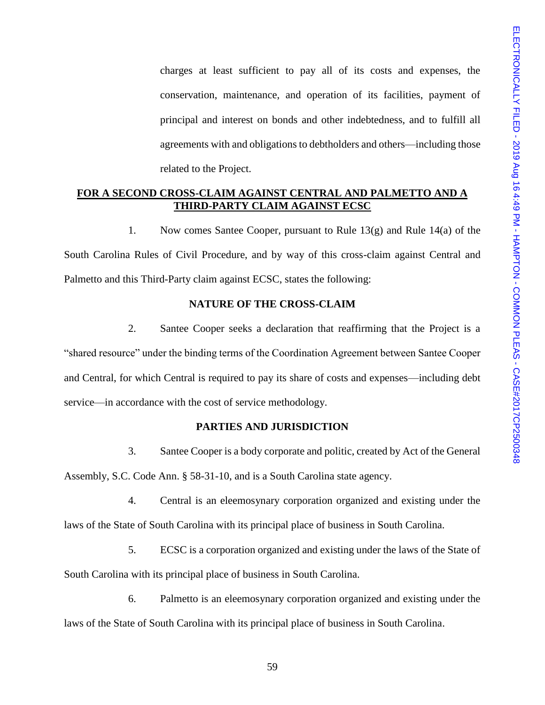charges at least sufficient to pay all of its costs and expenses, the conservation, maintenance, and operation of its facilities, payment of principal and interest on bonds and other indebtedness, and to fulfill all agreements with and obligations to debtholders and others—including those related to the Project.

## **FOR A SECOND CROSS-CLAIM AGAINST CENTRAL AND PALMETTO AND A THIRD-PARTY CLAIM AGAINST ECSC**

1. Now comes Santee Cooper, pursuant to Rule 13(g) and Rule 14(a) of the South Carolina Rules of Civil Procedure, and by way of this cross-claim against Central and Palmetto and this Third-Party claim against ECSC, states the following:

# **NATURE OF THE CROSS-CLAIM**

2. Santee Cooper seeks a declaration that reaffirming that the Project is a "shared resource" under the binding terms of the Coordination Agreement between Santee Cooper and Central, for which Central is required to pay its share of costs and expenses—including debt service—in accordance with the cost of service methodology.

# **PARTIES AND JURISDICTION**

3. Santee Cooper is a body corporate and politic, created by Act of the General Assembly, S.C. Code Ann. § 58-31-10, and is a South Carolina state agency.

- 4. Central is an eleemosynary corporation organized and existing under the laws of the State of South Carolina with its principal place of business in South Carolina.
- 5. ECSC is a corporation organized and existing under the laws of the State of South Carolina with its principal place of business in South Carolina.
- 6. Palmetto is an eleemosynary corporation organized and existing under the laws of the State of South Carolina with its principal place of business in South Carolina.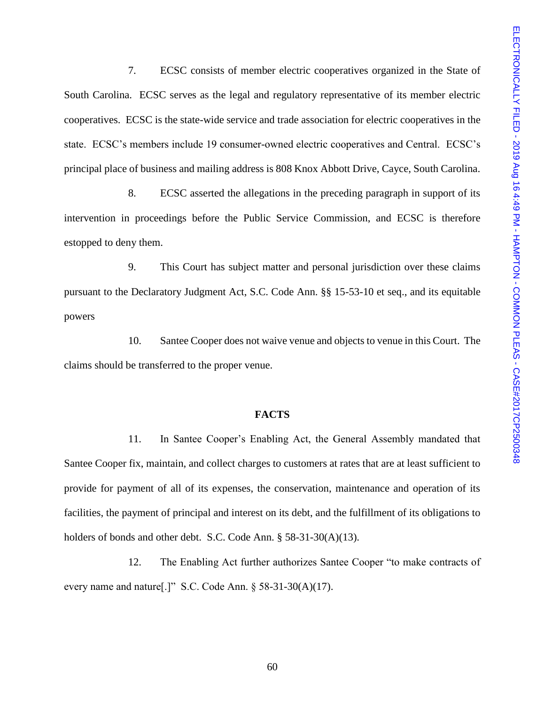7. ECSC consists of member electric cooperatives organized in the State of South Carolina. ECSC serves as the legal and regulatory representative of its member electric cooperatives. ECSC is the state-wide service and trade association for electric cooperatives in the state. ECSC's members include 19 consumer-owned electric cooperatives and Central. ECSC's principal place of business and mailing address is 808 Knox Abbott Drive, Cayce, South Carolina.

8. ECSC asserted the allegations in the preceding paragraph in support of its intervention in proceedings before the Public Service Commission, and ECSC is therefore estopped to deny them.

9. This Court has subject matter and personal jurisdiction over these claims pursuant to the Declaratory Judgment Act, S.C. Code Ann. §§ 15-53-10 et seq., and its equitable powers

10. Santee Cooper does not waive venue and objects to venue in this Court. The claims should be transferred to the proper venue.

### **FACTS**

11. In Santee Cooper's Enabling Act, the General Assembly mandated that Santee Cooper fix, maintain, and collect charges to customers at rates that are at least sufficient to provide for payment of all of its expenses, the conservation, maintenance and operation of its facilities, the payment of principal and interest on its debt, and the fulfillment of its obligations to holders of bonds and other debt. S.C. Code Ann. § 58-31-30(A)(13).

12. The Enabling Act further authorizes Santee Cooper "to make contracts of every name and nature[.]" S.C. Code Ann. § 58-31-30(A)(17).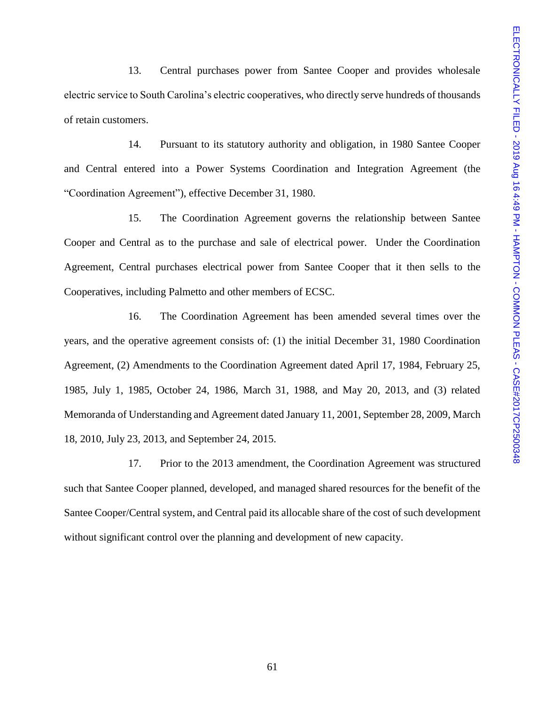13. Central purchases power from Santee Cooper and provides wholesale electric service to South Carolina's electric cooperatives, who directly serve hundreds of thousands of retain customers.

14. Pursuant to its statutory authority and obligation, in 1980 Santee Cooper and Central entered into a Power Systems Coordination and Integration Agreement (the "Coordination Agreement"), effective December 31, 1980.

15. The Coordination Agreement governs the relationship between Santee Cooper and Central as to the purchase and sale of electrical power. Under the Coordination Agreement, Central purchases electrical power from Santee Cooper that it then sells to the Cooperatives, including Palmetto and other members of ECSC.

16. The Coordination Agreement has been amended several times over the years, and the operative agreement consists of: (1) the initial December 31, 1980 Coordination Agreement, (2) Amendments to the Coordination Agreement dated April 17, 1984, February 25, 1985, July 1, 1985, October 24, 1986, March 31, 1988, and May 20, 2013, and (3) related Memoranda of Understanding and Agreement dated January 11, 2001, September 28, 2009, March 18, 2010, July 23, 2013, and September 24, 2015.

17. Prior to the 2013 amendment, the Coordination Agreement was structured such that Santee Cooper planned, developed, and managed shared resources for the benefit of the Santee Cooper/Central system, and Central paid its allocable share of the cost of such development without significant control over the planning and development of new capacity.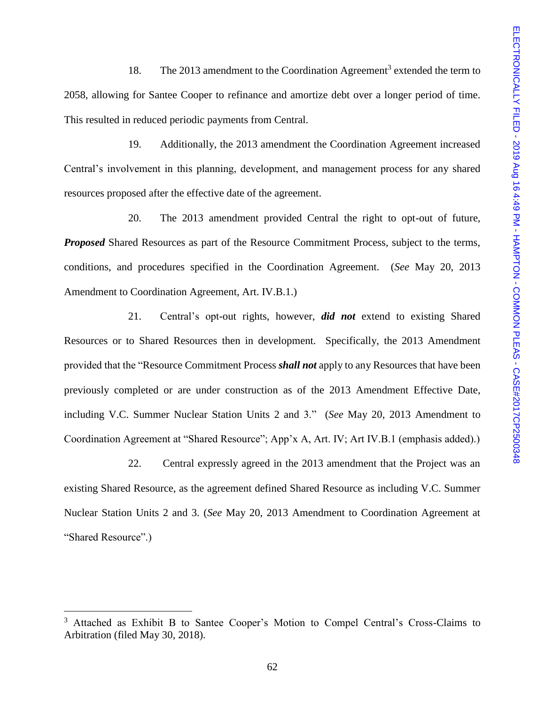18. The 2013 amendment to the Coordination Agreement<sup>3</sup> extended the term to 2058, allowing for Santee Cooper to refinance and amortize debt over a longer period of time. This resulted in reduced periodic payments from Central.

19. Additionally, the 2013 amendment the Coordination Agreement increased Central's involvement in this planning, development, and management process for any shared resources proposed after the effective date of the agreement.

20. The 2013 amendment provided Central the right to opt-out of future, *Proposed* Shared Resources as part of the Resource Commitment Process, subject to the terms, conditions, and procedures specified in the Coordination Agreement. (*See* May 20, 2013 Amendment to Coordination Agreement, Art. IV.B.1.)

21. Central's opt-out rights, however, *did not* extend to existing Shared Resources or to Shared Resources then in development. Specifically, the 2013 Amendment provided that the "Resource Commitment Process *shall not* apply to any Resources that have been previously completed or are under construction as of the 2013 Amendment Effective Date, including V.C. Summer Nuclear Station Units 2 and 3." (*See* May 20, 2013 Amendment to Coordination Agreement at "Shared Resource"; App'x A, Art. IV; Art IV.B.1 (emphasis added).)

22. Central expressly agreed in the 2013 amendment that the Project was an existing Shared Resource, as the agreement defined Shared Resource as including V.C. Summer Nuclear Station Units 2 and 3. (*See* May 20, 2013 Amendment to Coordination Agreement at "Shared Resource".)

l

<sup>&</sup>lt;sup>3</sup> Attached as Exhibit B to Santee Cooper's Motion to Compel Central's Cross-Claims to Arbitration (filed May 30, 2018).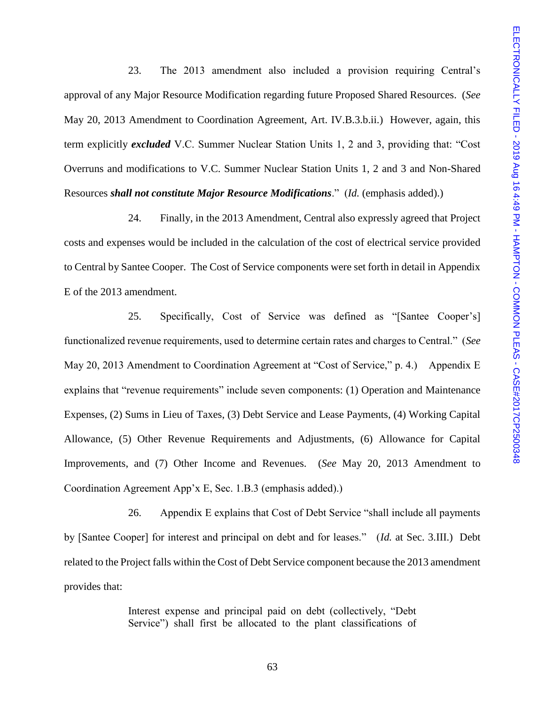23. The 2013 amendment also included a provision requiring Central's approval of any Major Resource Modification regarding future Proposed Shared Resources. (*See* May 20, 2013 Amendment to Coordination Agreement, Art. IV.B.3.b.ii.) However, again, this term explicitly *excluded* V.C. Summer Nuclear Station Units 1, 2 and 3, providing that: "Cost Overruns and modifications to V.C. Summer Nuclear Station Units 1, 2 and 3 and Non-Shared Resources *shall not constitute Major Resource Modifications*." (*Id.* (emphasis added).)

24. Finally, in the 2013 Amendment, Central also expressly agreed that Project costs and expenses would be included in the calculation of the cost of electrical service provided to Central by Santee Cooper. The Cost of Service components were set forth in detail in Appendix E of the 2013 amendment.

25. Specifically, Cost of Service was defined as "[Santee Cooper's] functionalized revenue requirements, used to determine certain rates and charges to Central." (*See* May 20, 2013 Amendment to Coordination Agreement at "Cost of Service," p. 4.) Appendix E explains that "revenue requirements" include seven components: (1) Operation and Maintenance Expenses, (2) Sums in Lieu of Taxes, (3) Debt Service and Lease Payments, (4) Working Capital Allowance, (5) Other Revenue Requirements and Adjustments, (6) Allowance for Capital Improvements, and (7) Other Income and Revenues. (*See* May 20, 2013 Amendment to Coordination Agreement App'x E, Sec. 1.B.3 (emphasis added).)

26. Appendix E explains that Cost of Debt Service "shall include all payments by [Santee Cooper] for interest and principal on debt and for leases." (*Id.* at Sec. 3.III.) Debt related to the Project falls within the Cost of Debt Service component because the 2013 amendment provides that:

> Interest expense and principal paid on debt (collectively, "Debt Service") shall first be allocated to the plant classifications of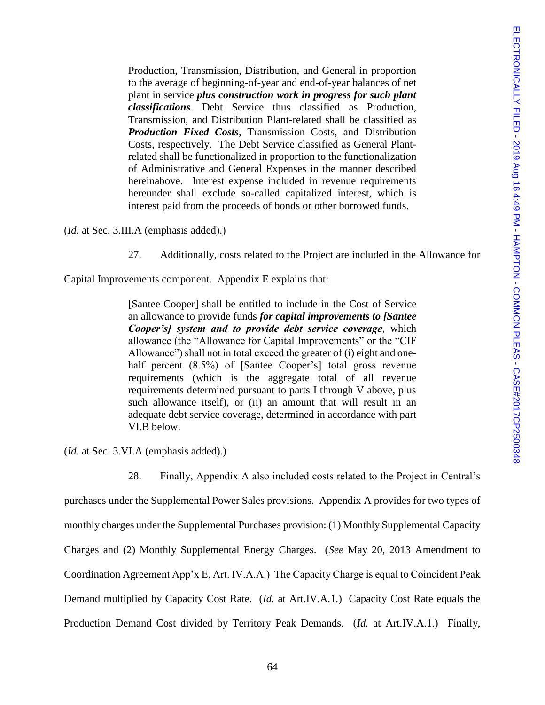Production, Transmission, Distribution, and General in proportion to the average of beginning-of-year and end-of-year balances of net plant in service *plus construction work in progress for such plant classifications*. Debt Service thus classified as Production, Transmission, and Distribution Plant-related shall be classified as *Production Fixed Costs*, Transmission Costs, and Distribution Costs, respectively. The Debt Service classified as General Plantrelated shall be functionalized in proportion to the functionalization of Administrative and General Expenses in the manner described hereinabove. Interest expense included in revenue requirements hereunder shall exclude so-called capitalized interest, which is interest paid from the proceeds of bonds or other borrowed funds.

(*Id.* at Sec. 3.III.A (emphasis added).)

27. Additionally, costs related to the Project are included in the Allowance for

Capital Improvements component. Appendix E explains that:

[Santee Cooper] shall be entitled to include in the Cost of Service an allowance to provide funds *for capital improvements to [Santee Cooper's] system and to provide debt service coverage*, which allowance (the "Allowance for Capital Improvements" or the "CIF Allowance") shall not in total exceed the greater of (i) eight and onehalf percent (8.5%) of [Santee Cooper's] total gross revenue requirements (which is the aggregate total of all revenue requirements determined pursuant to parts I through V above, plus such allowance itself), or (ii) an amount that will result in an adequate debt service coverage, determined in accordance with part VI.B below.

(*Id.* at Sec. 3.VI.A (emphasis added).)

28. Finally, Appendix A also included costs related to the Project in Central's

purchases under the Supplemental Power Sales provisions. Appendix A provides for two types of monthly charges under the Supplemental Purchases provision: (1) Monthly Supplemental Capacity Charges and (2) Monthly Supplemental Energy Charges. (*See* May 20, 2013 Amendment to Coordination Agreement App'x E, Art. IV.A.A.) The Capacity Charge is equal to Coincident Peak Demand multiplied by Capacity Cost Rate. (*Id.* at Art.IV.A.1.) Capacity Cost Rate equals the Production Demand Cost divided by Territory Peak Demands. (*Id.* at Art.IV.A.1.) Finally,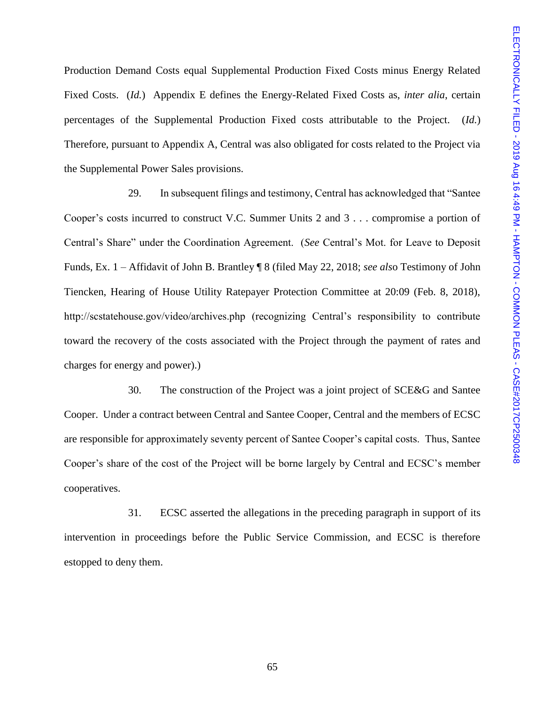Production Demand Costs equal Supplemental Production Fixed Costs minus Energy Related Fixed Costs. (*Id.*) Appendix E defines the Energy-Related Fixed Costs as, *inter alia*, certain percentages of the Supplemental Production Fixed costs attributable to the Project. (*Id.*) Therefore, pursuant to Appendix A, Central was also obligated for costs related to the Project via the Supplemental Power Sales provisions.

29. In subsequent filings and testimony, Central has acknowledged that "Santee Cooper's costs incurred to construct V.C. Summer Units 2 and 3 . . . compromise a portion of Central's Share" under the Coordination Agreement. (*See* Central's Mot. for Leave to Deposit Funds, Ex. 1 – Affidavit of John B. Brantley ¶ 8 (filed May 22, 2018; *see als*o Testimony of John Tiencken, Hearing of House Utility Ratepayer Protection Committee at 20:09 (Feb. 8, 2018), http://scstatehouse.gov/video/archives.php (recognizing Central's responsibility to contribute toward the recovery of the costs associated with the Project through the payment of rates and charges for energy and power).)

30. The construction of the Project was a joint project of SCE&G and Santee Cooper. Under a contract between Central and Santee Cooper, Central and the members of ECSC are responsible for approximately seventy percent of Santee Cooper's capital costs. Thus, Santee Cooper's share of the cost of the Project will be borne largely by Central and ECSC's member cooperatives.

31. ECSC asserted the allegations in the preceding paragraph in support of its intervention in proceedings before the Public Service Commission, and ECSC is therefore estopped to deny them.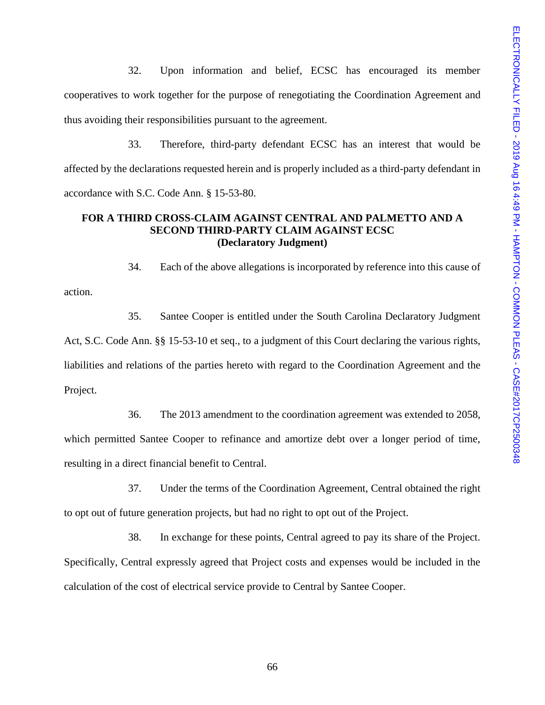32. Upon information and belief, ECSC has encouraged its member cooperatives to work together for the purpose of renegotiating the Coordination Agreement and thus avoiding their responsibilities pursuant to the agreement.

33. Therefore, third-party defendant ECSC has an interest that would be affected by the declarations requested herein and is properly included as a third-party defendant in accordance with S.C. Code Ann. § 15-53-80.

# **FOR A THIRD CROSS-CLAIM AGAINST CENTRAL AND PALMETTO AND A SECOND THIRD-PARTY CLAIM AGAINST ECSC (Declaratory Judgment)**

action.

34. Each of the above allegations is incorporated by reference into this cause of

35. Santee Cooper is entitled under the South Carolina Declaratory Judgment Act, S.C. Code Ann. §§ 15-53-10 et seq., to a judgment of this Court declaring the various rights, liabilities and relations of the parties hereto with regard to the Coordination Agreement and the Project.

36. The 2013 amendment to the coordination agreement was extended to 2058, which permitted Santee Cooper to refinance and amortize debt over a longer period of time, resulting in a direct financial benefit to Central.

37. Under the terms of the Coordination Agreement, Central obtained the right to opt out of future generation projects, but had no right to opt out of the Project.

38. In exchange for these points, Central agreed to pay its share of the Project. Specifically, Central expressly agreed that Project costs and expenses would be included in the calculation of the cost of electrical service provide to Central by Santee Cooper.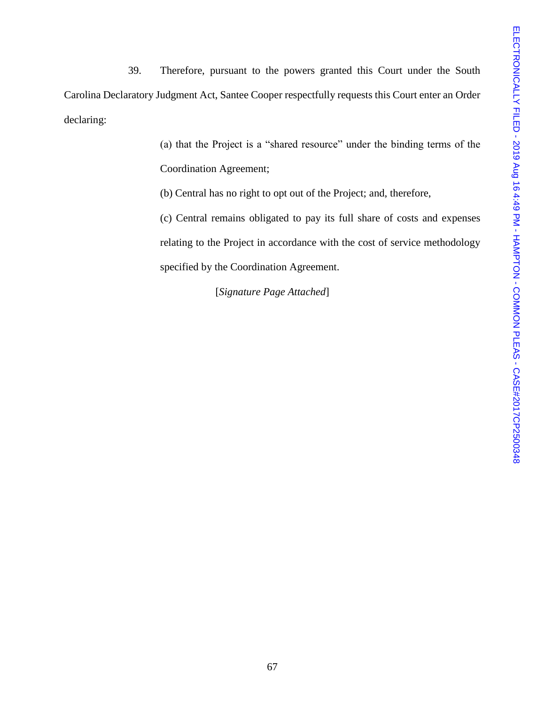39. Therefore, pursuant to the powers granted this Court under the South Carolina Declaratory Judgment Act, Santee Cooper respectfully requests this Court enter an Order declaring:

> (a) that the Project is a "shared resource" under the binding terms of the Coordination Agreement;

(b) Central has no right to opt out of the Project; and, therefore,

(c) Central remains obligated to pay its full share of costs and expenses relating to the Project in accordance with the cost of service methodology specified by the Coordination Agreement.

[*Signature Page Attached*]